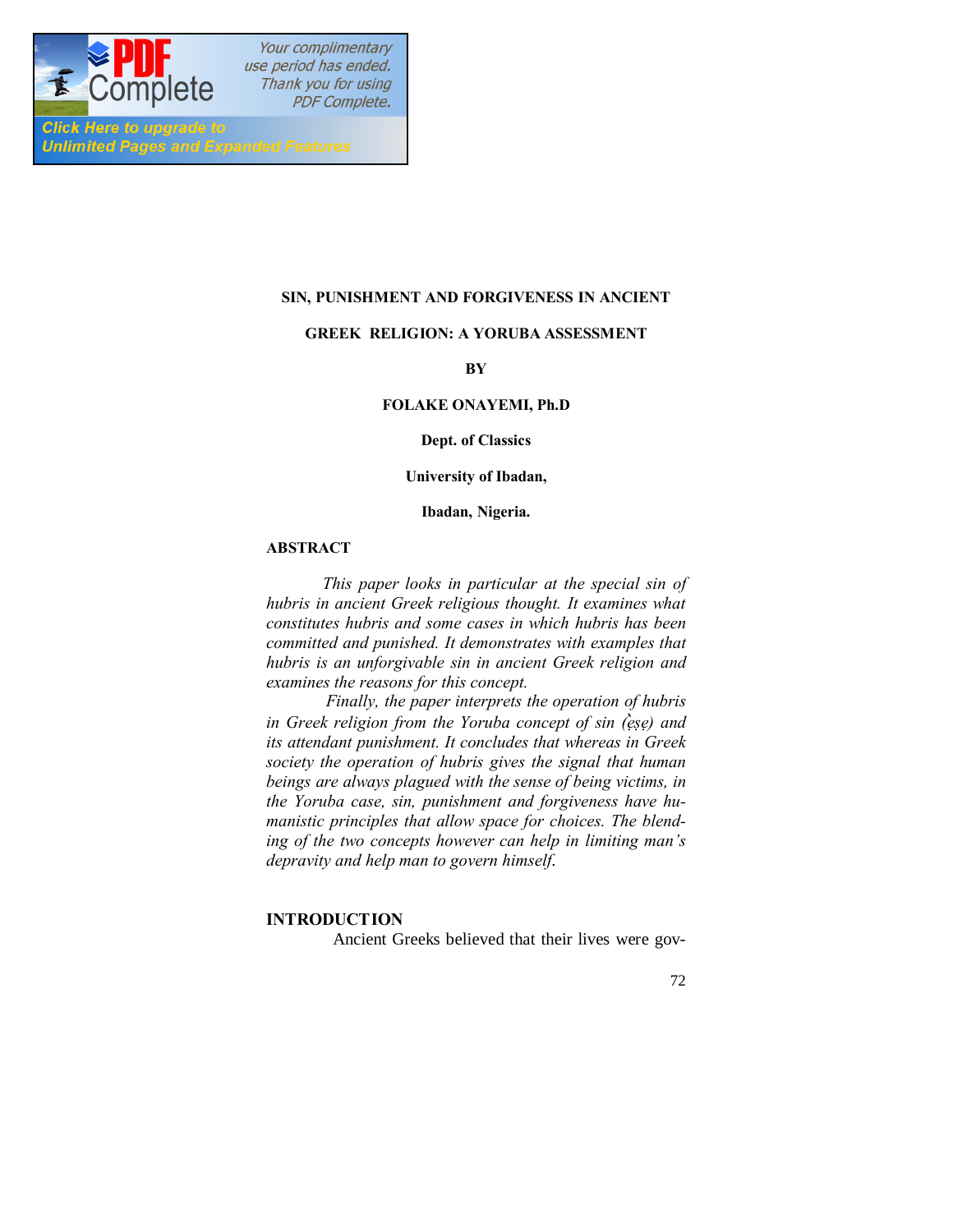### **SIN, PUNISHMENT AND FORGIVENESS IN ANCIENT**

### **GREEK RELIGION: A YORUBA ASSESSMENT**

#### **BY**

### **FOLAKE ONAYEMI, Ph.D**

#### **Dept. of Classics**

#### **University of Ibadan,**

#### **Ibadan, Nigeria.**

## **ABSTRACT**

 *This paper looks in particular at the special sin of hubris in ancient Greek religious thought. It examines what constitutes hubris and some cases in which hubris has been committed and punished. It demonstrates with examples that hubris is an unforgivable sin in ancient Greek religion and examines the reasons for this concept.*

 *Finally, the paper interprets the operation of hubris in Greek religion from the Yoruba concept of sin (e*̀*se) and its attendant punishment. It concludes that whereas in Greek society the operation of hubris gives the signal that human beings are always plagued with the sense of being victims, in the Yoruba case, sin, punishment and forgiveness have humanistic principles that allow space for choices. The blending of the two concepts however can help in limiting man's depravity and help man to govern himself*.

## **INTRODUCTION**

Ancient Greeks believed that their lives were gov-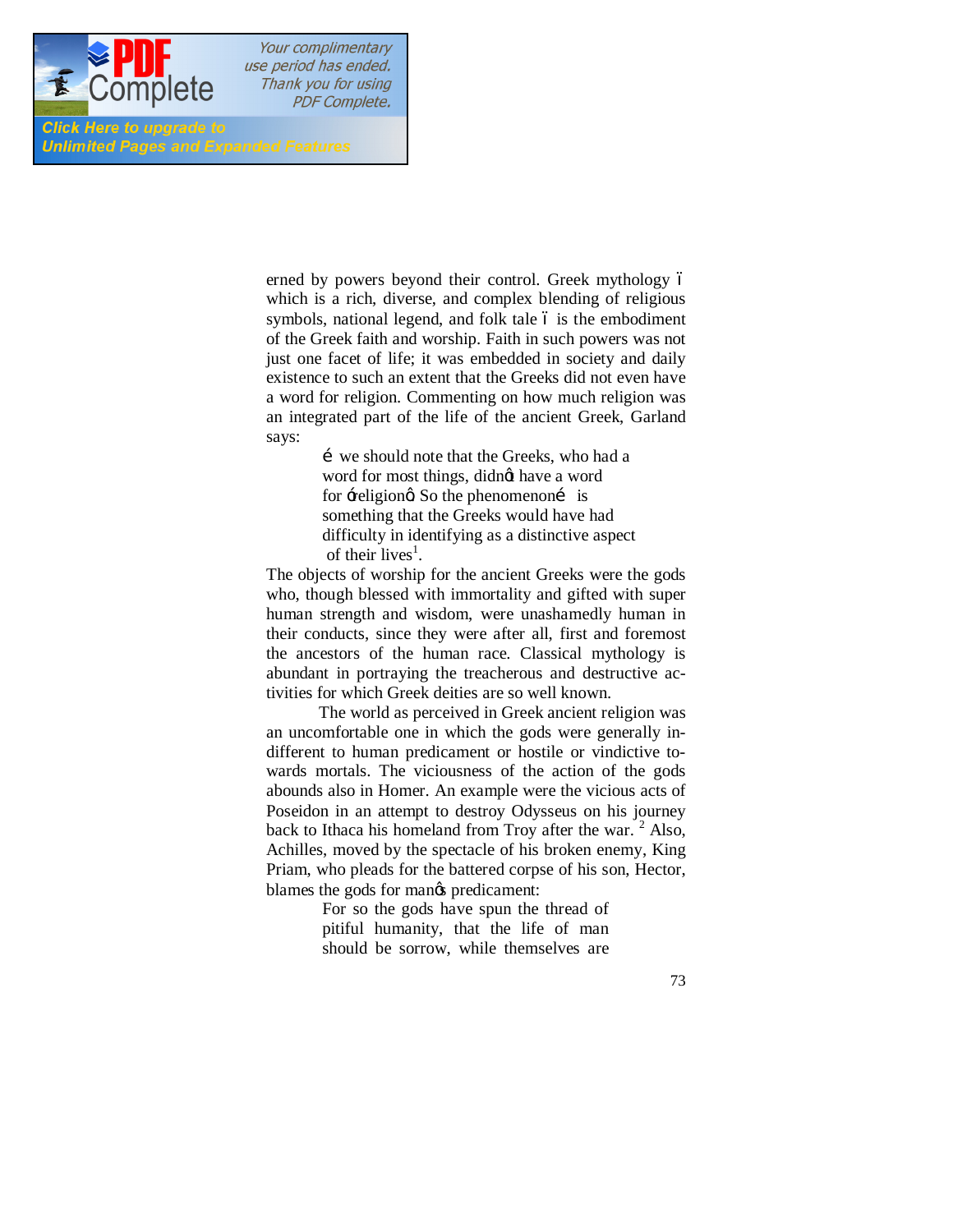erned by powers beyond their control. Greek mythology – which is a rich, diverse, and complex blending of religious symbols, national legend, and folk tale 6 is the embodiment of the Greek faith and worship. Faith in such powers was not just one facet of life; it was embedded in society and daily existence to such an extent that the Greeks did not even have a word for religion. Commenting on how much religion was an integrated part of the life of the ancient Greek, Garland says:

> …we should note that the Greeks, who had a word for most things, didnet have a word for  $\pm$ eligiong. So the phenomenon is something that the Greeks would have had difficulty in identifying as a distinctive aspect of their lives<sup>1</sup>.

The objects of worship for the ancient Greeks were the gods who, though blessed with immortality and gifted with super human strength and wisdom, were unashamedly human in their conducts, since they were after all, first and foremost the ancestors of the human race. Classical mythology is abundant in portraying the treacherous and destructive activities for which Greek deities are so well known.

 The world as perceived in Greek ancient religion was an uncomfortable one in which the gods were generally indifferent to human predicament or hostile or vindictive towards mortals. The viciousness of the action of the gods abounds also in Homer. An example were the vicious acts of Poseidon in an attempt to destroy Odysseus on his journey back to Ithaca his homeland from Troy after the war.  $2$  Also, Achilles, moved by the spectacle of his broken enemy, King Priam, who pleads for the battered corpse of his son, Hector, blames the gods for mange predicament:

> For so the gods have spun the thread of pitiful humanity, that the life of man should be sorrow, while themselves are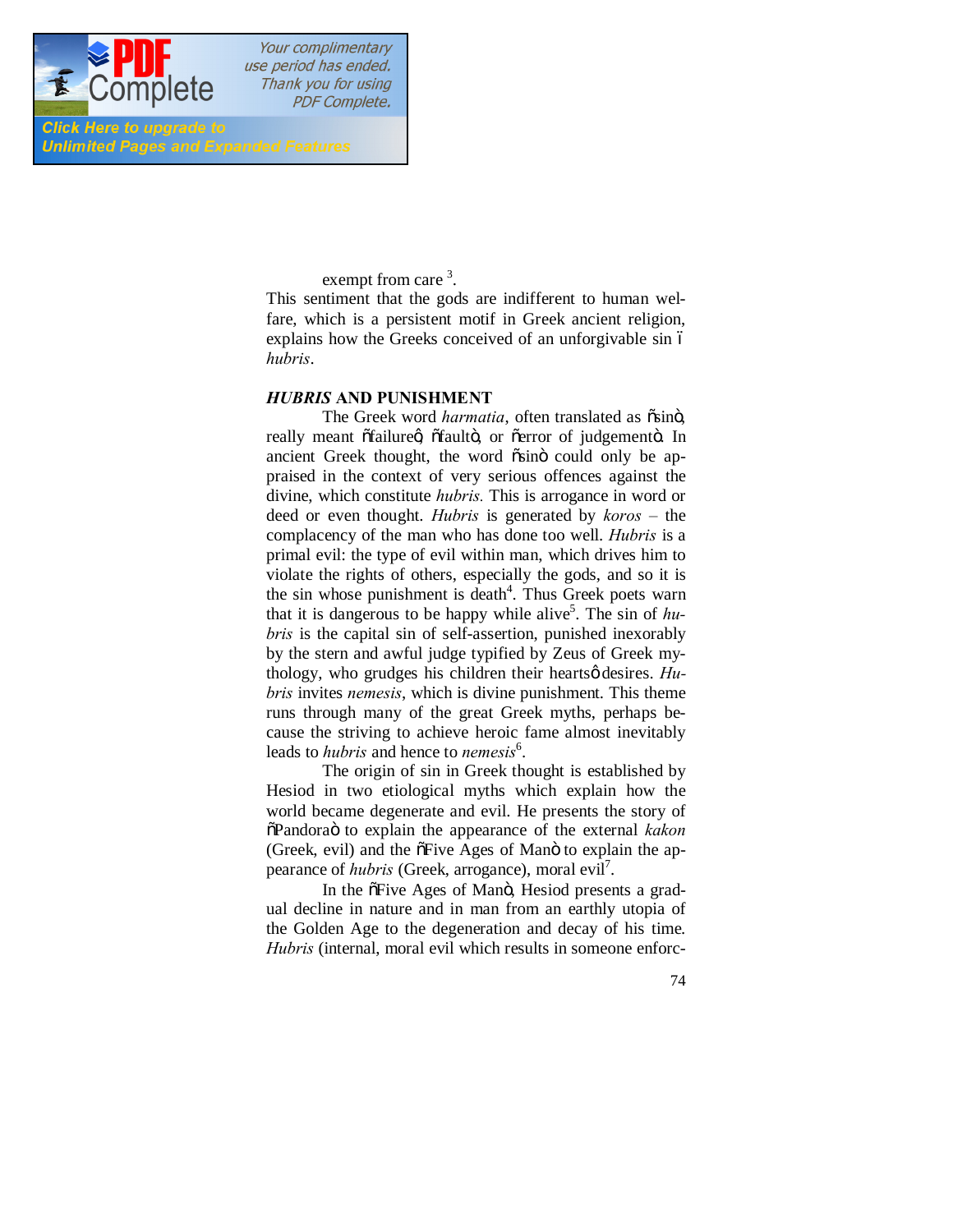exempt from care <sup>3</sup>.

This sentiment that the gods are indifferent to human welfare, which is a persistent motif in Greek ancient religion, explains how the Greeks conceived of an unforgivable sin  $6$ *hubris*.

# *HUBRIS* **AND PUNISHMENT**

The Greek word *harmatia*, often translated as  $\tilde{o}$ sin $\tilde{o}$ , really meant õfailureg õfaultö, or õerror of judgementö. In ancient Greek thought, the word  $\tilde{0}$ sino could only be appraised in the context of very serious offences against the divine, which constitute *hubris.* This is arrogance in word or deed or even thought. *Hubris* is generated by *koros –* the complacency of the man who has done too well. *Hubris* is a primal evil: the type of evil within man, which drives him to violate the rights of others, especially the gods, and so it is the sin whose punishment is death<sup>4</sup>. Thus Greek poets warn that it is dangerous to be happy while alive<sup>5</sup>. The sin of hu*bris* is the capital sin of self-assertion, punished inexorably by the stern and awful judge typified by Zeus of Greek mythology, who grudges his children their hearts *o* desires. *Hubris* invites *nemesis*, which is divine punishment. This theme runs through many of the great Greek myths, perhaps because the striving to achieve heroic fame almost inevitably leads to *hubris* and hence to *nemesis*<sup>6</sup>.

The origin of sin in Greek thought is established by Hesiod in two etiological myths which explain how the world became degenerate and evil. He presents the story of  $\tilde{\text{o}}$ Pandoraö to explain the appearance of the external *kakon* (Greek, evil) and the  $\delta$ Five Ages of Man $\ddot{o}$  to explain the appearance of *hubris* (Greek, arrogance), moral evil<sup>7</sup>.

In the  $\delta$ Five Ages of Man<sub> $\ddot{o}$ </sub>, Hesiod presents a gradual decline in nature and in man from an earthly utopia of the Golden Age to the degeneration and decay of his time. *Hubris* (internal, moral evil which results in someone enforc-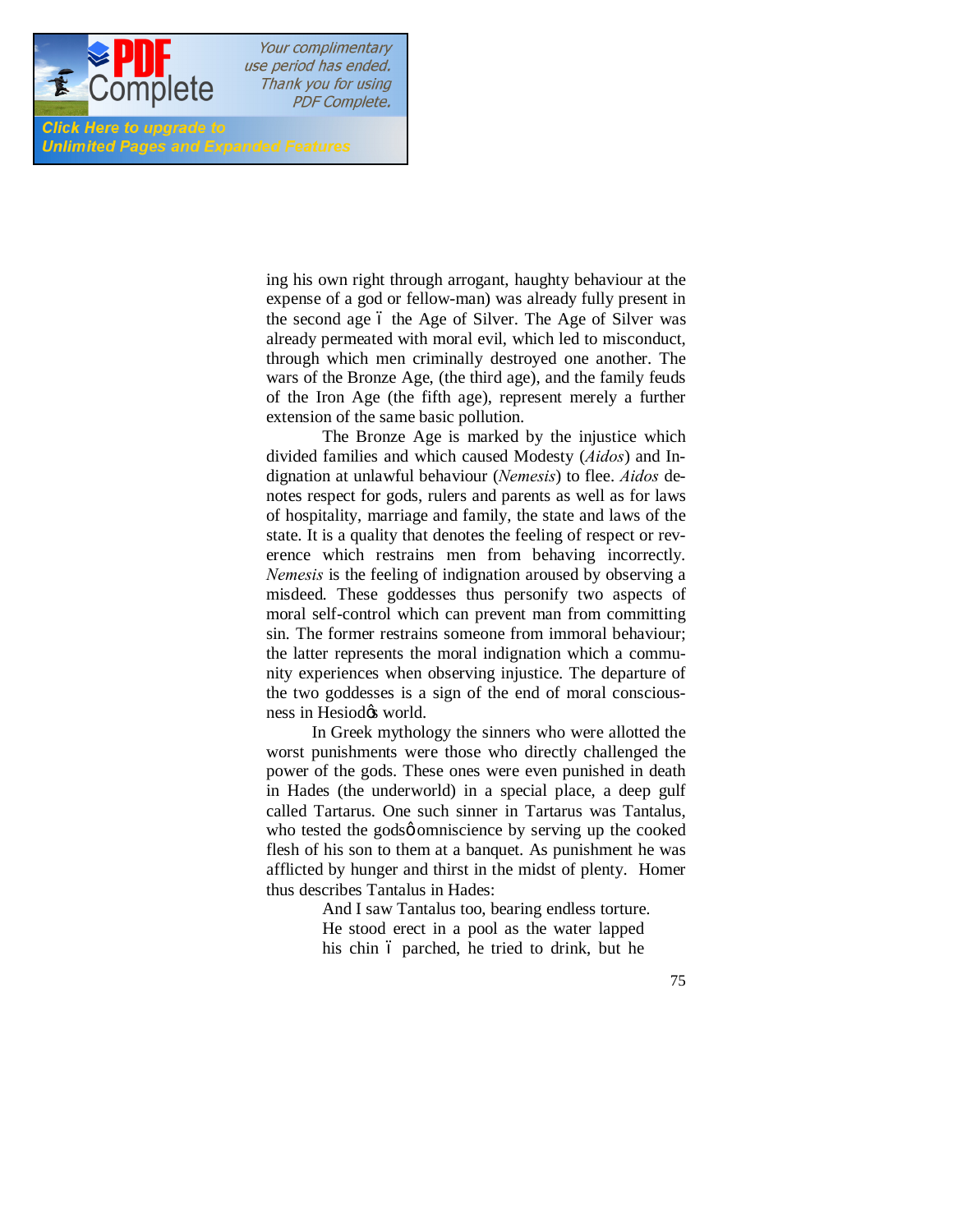ing his own right through arrogant, haughty behaviour at the expense of a god or fellow-man) was already fully present in the second age 6 the Age of Silver. The Age of Silver was already permeated with moral evil, which led to misconduct, through which men criminally destroyed one another. The wars of the Bronze Age, (the third age), and the family feuds of the Iron Age (the fifth age), represent merely a further extension of the same basic pollution.

The Bronze Age is marked by the injustice which divided families and which caused Modesty (*Aidos*) and Indignation at unlawful behaviour (*Nemesis*) to flee. *Aidos* denotes respect for gods, rulers and parents as well as for laws of hospitality, marriage and family, the state and laws of the state. It is a quality that denotes the feeling of respect or reverence which restrains men from behaving incorrectly. *Nemesis* is the feeling of indignation aroused by observing a misdeed. These goddesses thus personify two aspects of moral self-control which can prevent man from committing sin. The former restrains someone from immoral behaviour; the latter represents the moral indignation which a community experiences when observing injustice. The departure of the two goddesses is a sign of the end of moral consciousness in Hesiod<sup>®</sup> world.

 In Greek mythology the sinners who were allotted the worst punishments were those who directly challenged the power of the gods. These ones were even punished in death in Hades (the underworld) in a special place, a deep gulf called Tartarus. One such sinner in Tartarus was Tantalus, who tested the godsø omniscience by serving up the cooked flesh of his son to them at a banquet. As punishment he was afflicted by hunger and thirst in the midst of plenty. Homer thus describes Tantalus in Hades:

> And I saw Tantalus too, bearing endless torture. He stood erect in a pool as the water lapped his chin ó parched, he tried to drink, but he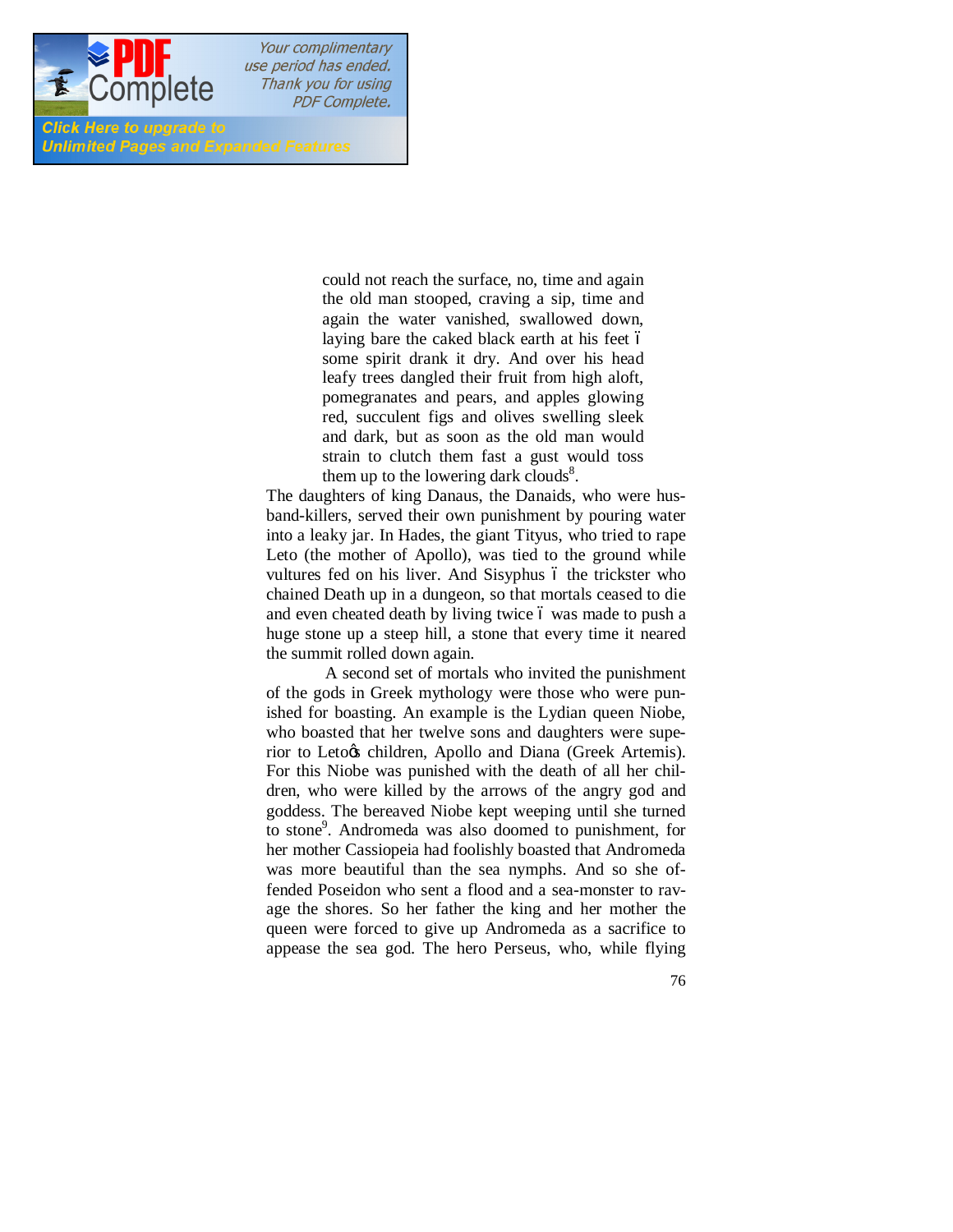could not reach the surface, no, time and again the old man stooped, craving a sip, time and again the water vanished, swallowed down, laying bare the caked black earth at his feet 6 some spirit drank it dry. And over his head leafy trees dangled their fruit from high aloft, pomegranates and pears, and apples glowing red, succulent figs and olives swelling sleek and dark, but as soon as the old man would strain to clutch them fast a gust would toss them up to the lowering dark clouds<sup>8</sup>.

The daughters of king Danaus, the Danaids, who were husband-killers, served their own punishment by pouring water into a leaky jar. In Hades, the giant Tityus, who tried to rape Leto (the mother of Apollo), was tied to the ground while vultures fed on his liver. And Sisyphus 6 the trickster who chained Death up in a dungeon, so that mortals ceased to die and even cheated death by living twice 6 was made to push a huge stone up a steep hill, a stone that every time it neared the summit rolled down again.

 A second set of mortals who invited the punishment of the gods in Greek mythology were those who were punished for boasting. An example is the Lydian queen Niobe, who boasted that her twelve sons and daughters were superior to Leto $\alpha$  children, Apollo and Diana (Greek Artemis). For this Niobe was punished with the death of all her children, who were killed by the arrows of the angry god and goddess. The bereaved Niobe kept weeping until she turned to stone9 . Andromeda was also doomed to punishment, for her mother Cassiopeia had foolishly boasted that Andromeda was more beautiful than the sea nymphs. And so she offended Poseidon who sent a flood and a sea-monster to ravage the shores. So her father the king and her mother the queen were forced to give up Andromeda as a sacrifice to appease the sea god. The hero Perseus, who, while flying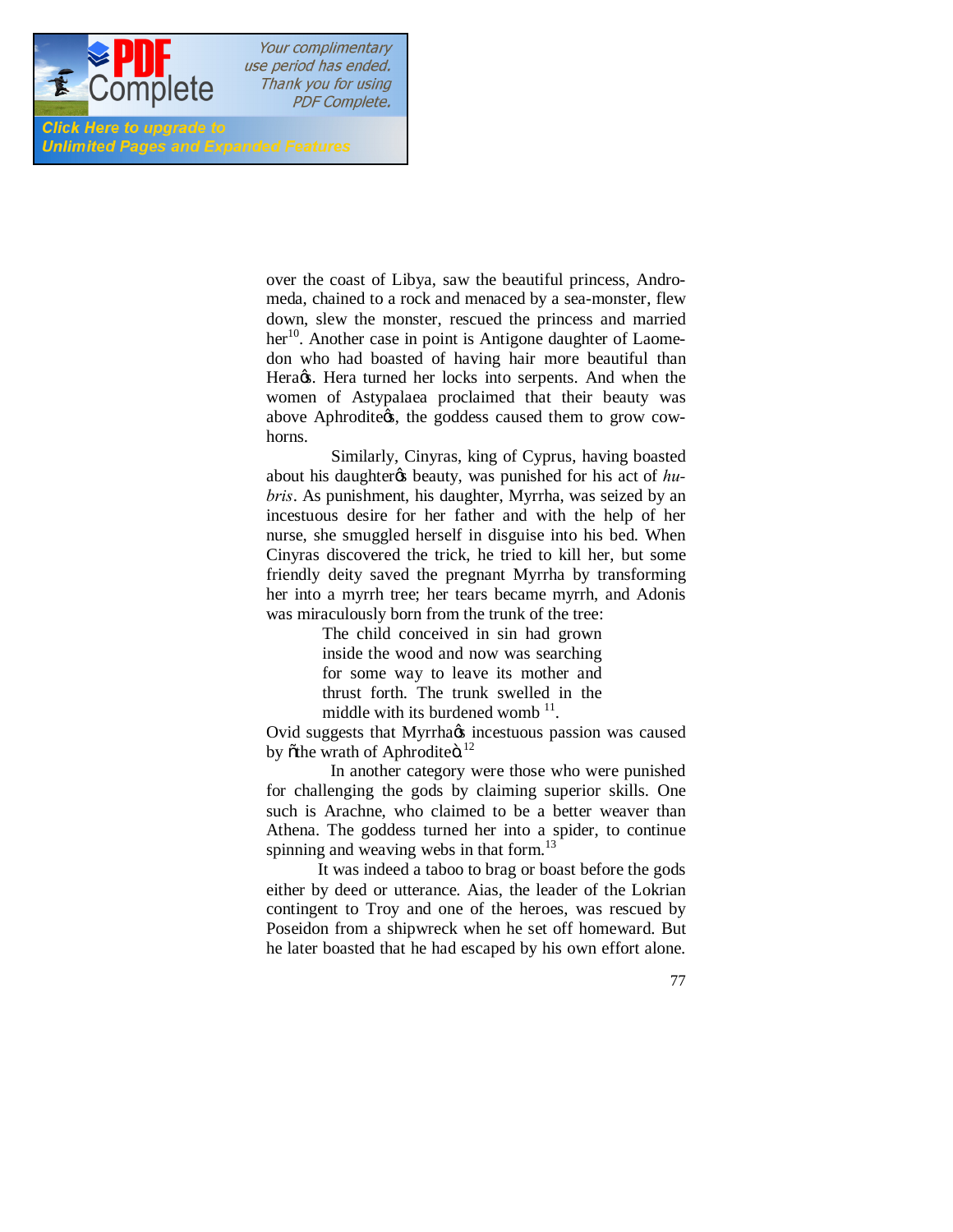over the coast of Libya, saw the beautiful princess, Andromeda, chained to a rock and menaced by a sea-monster, flew down, slew the monster, rescued the princess and married her<sup>10</sup>. Another case in point is Antigone daughter of Laomedon who had boasted of having hair more beautiful than Hera $\alpha$ s. Hera turned her locks into serpents. And when the women of Astypalaea proclaimed that their beauty was above Aphroditegs, the goddess caused them to grow cowhorns.

 Similarly, Cinyras, king of Cyprus, having boasted about his daughter<sub>*o*s</sub> beauty, was punished for his act of *hubris*. As punishment, his daughter, Myrrha, was seized by an incestuous desire for her father and with the help of her nurse, she smuggled herself in disguise into his bed. When Cinyras discovered the trick, he tried to kill her, but some friendly deity saved the pregnant Myrrha by transforming her into a myrrh tree; her tears became myrrh, and Adonis was miraculously born from the trunk of the tree:

> The child conceived in sin had grown inside the wood and now was searching for some way to leave its mother and thrust forth. The trunk swelled in the middle with its burdened womb<sup>11</sup>

Ovid suggests that Myrrha $\alpha$  incestuous passion was caused by õthe wrath of Aphroditeö. $12$ 

 In another category were those who were punished for challenging the gods by claiming superior skills. One such is Arachne, who claimed to be a better weaver than Athena. The goddess turned her into a spider, to continue spinning and weaving webs in that form.<sup>13</sup>

 It was indeed a taboo to brag or boast before the gods either by deed or utterance. Aias, the leader of the Lokrian contingent to Troy and one of the heroes, was rescued by Poseidon from a shipwreck when he set off homeward. But he later boasted that he had escaped by his own effort alone.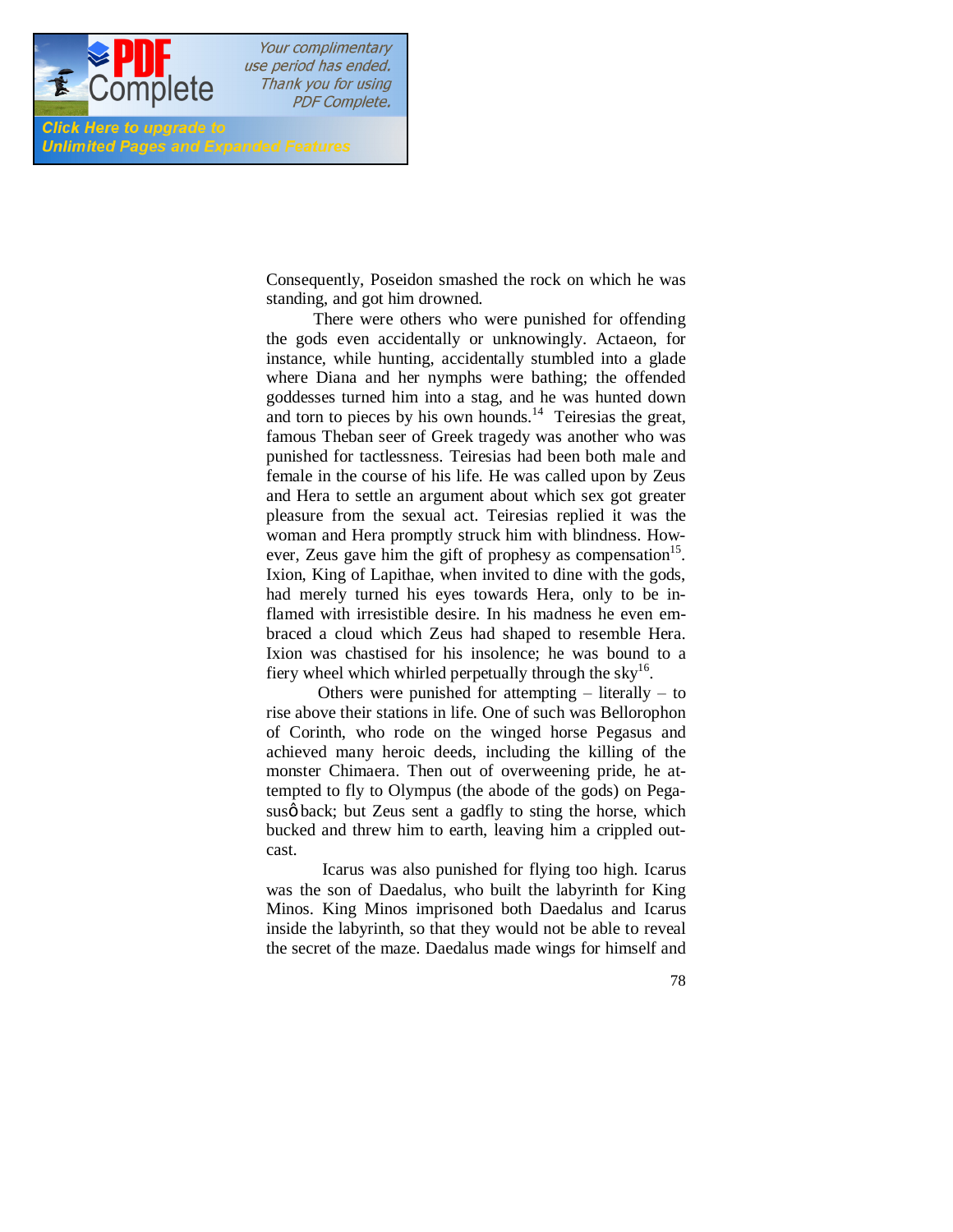Consequently, Poseidon smashed the rock on which he was standing, and got him drowned.

 There were others who were punished for offending the gods even accidentally or unknowingly. Actaeon, for instance, while hunting, accidentally stumbled into a glade where Diana and her nymphs were bathing; the offended goddesses turned him into a stag, and he was hunted down and torn to pieces by his own hounds.<sup>14</sup> Teiresias the great, famous Theban seer of Greek tragedy was another who was punished for tactlessness. Teiresias had been both male and female in the course of his life. He was called upon by Zeus and Hera to settle an argument about which sex got greater pleasure from the sexual act. Teiresias replied it was the woman and Hera promptly struck him with blindness. However, Zeus gave him the gift of prophesy as compensation<sup>15</sup>. Ixion, King of Lapithae, when invited to dine with the gods, had merely turned his eyes towards Hera, only to be inflamed with irresistible desire. In his madness he even embraced a cloud which Zeus had shaped to resemble Hera. Ixion was chastised for his insolence; he was bound to a fiery wheel which whirled perpetually through the  $\text{sky}^{16}$ .

 Others were punished for attempting *–* literally *–* to rise above their stations in life. One of such was Bellorophon of Corinth, who rode on the winged horse Pegasus and achieved many heroic deeds, including the killing of the monster Chimaera. Then out of overweening pride, he attempted to fly to Olympus (the abode of the gods) on Pegasusø back; but Zeus sent a gadfly to sting the horse, which bucked and threw him to earth, leaving him a crippled outcast.

Icarus was also punished for flying too high. Icarus was the son of Daedalus, who built the labyrinth for King Minos. King Minos imprisoned both Daedalus and Icarus inside the labyrinth, so that they would not be able to reveal the secret of the maze. Daedalus made wings for himself and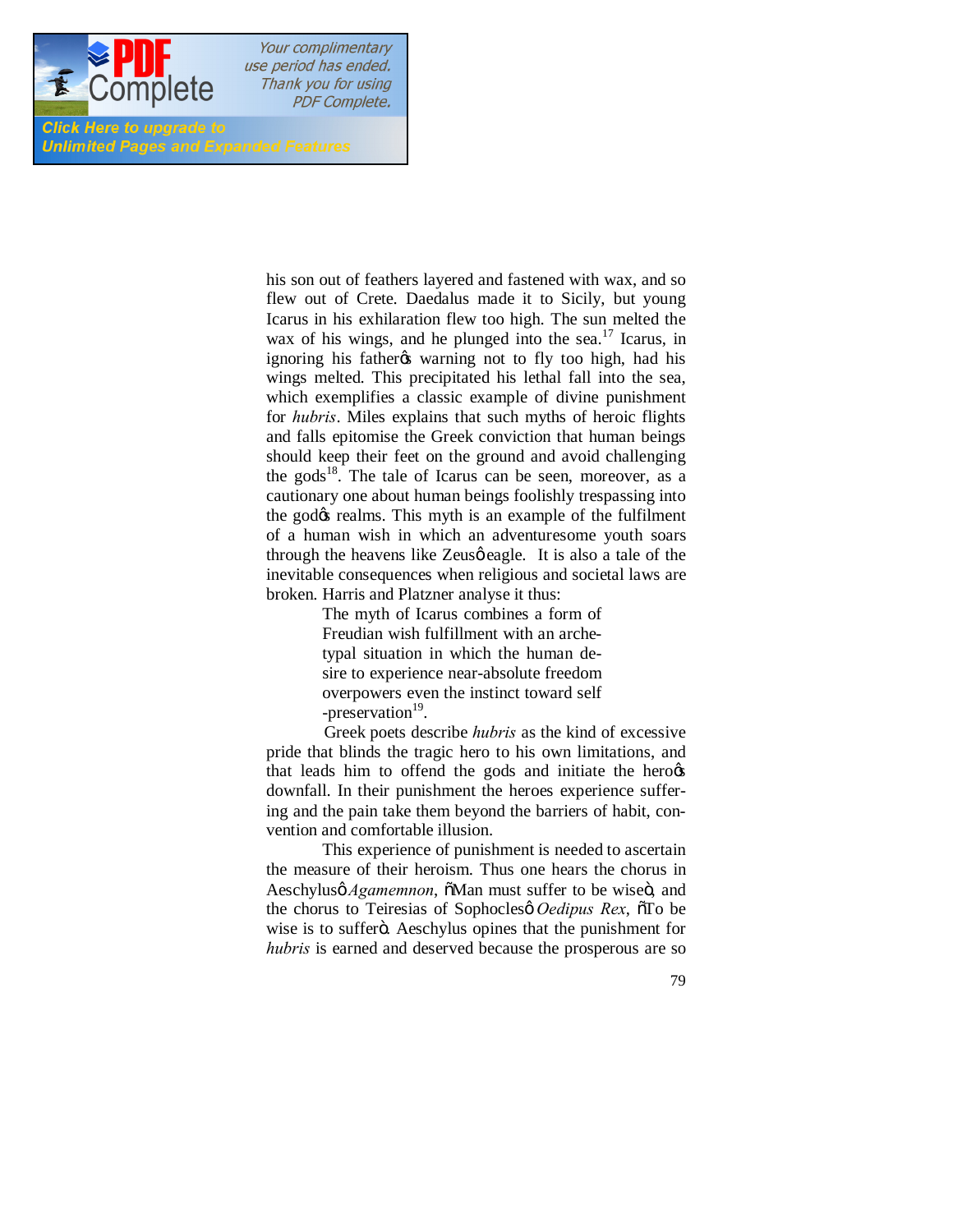his son out of feathers layered and fastened with wax, and so flew out of Crete. Daedalus made it to Sicily, but young Icarus in his exhilaration flew too high. The sun melted the wax of his wings, and he plunged into the sea.<sup>17</sup> Icarus, in ignoring his father *(see warning not to fly too high, had his* wings melted. This precipitated his lethal fall into the sea, which exemplifies a classic example of divine punishment for *hubris*. Miles explains that such myths of heroic flights and falls epitomise the Greek conviction that human beings should keep their feet on the ground and avoid challenging the gods<sup>18</sup>. The tale of Icarus can be seen, moreover, as a cautionary one about human beings foolishly trespassing into the god $\alpha$  realms. This myth is an example of the fulfilment of a human wish in which an adventuresome youth soars through the heavens like Zeusø eagle. It is also a tale of the inevitable consequences when religious and societal laws are broken. Harris and Platzner analyse it thus:

> The myth of Icarus combines a form of Freudian wish fulfillment with an archetypal situation in which the human desire to experience near-absolute freedom overpowers even the instinct toward self -preservation<sup>19</sup>.

 Greek poets describe *hubris* as the kind of excessive pride that blinds the tragic hero to his own limitations, and that leads him to offend the gods and initiate the hero downfall. In their punishment the heroes experience suffering and the pain take them beyond the barriers of habit, convention and comfortable illusion.

This experience of punishment is needed to ascertain the measure of their heroism. Thus one hears the chorus in Aeschylusø *Agamemnon*,  $\delta$ Man must suffer to be wise<sub>"</sub>, and the chorus to Teiresias of Sophocles*o Oedipus Rex*,  $\tilde{o}$ To be wise is to suffer<sub>o</sub>. Aeschylus opines that the punishment for *hubris* is earned and deserved because the prosperous are so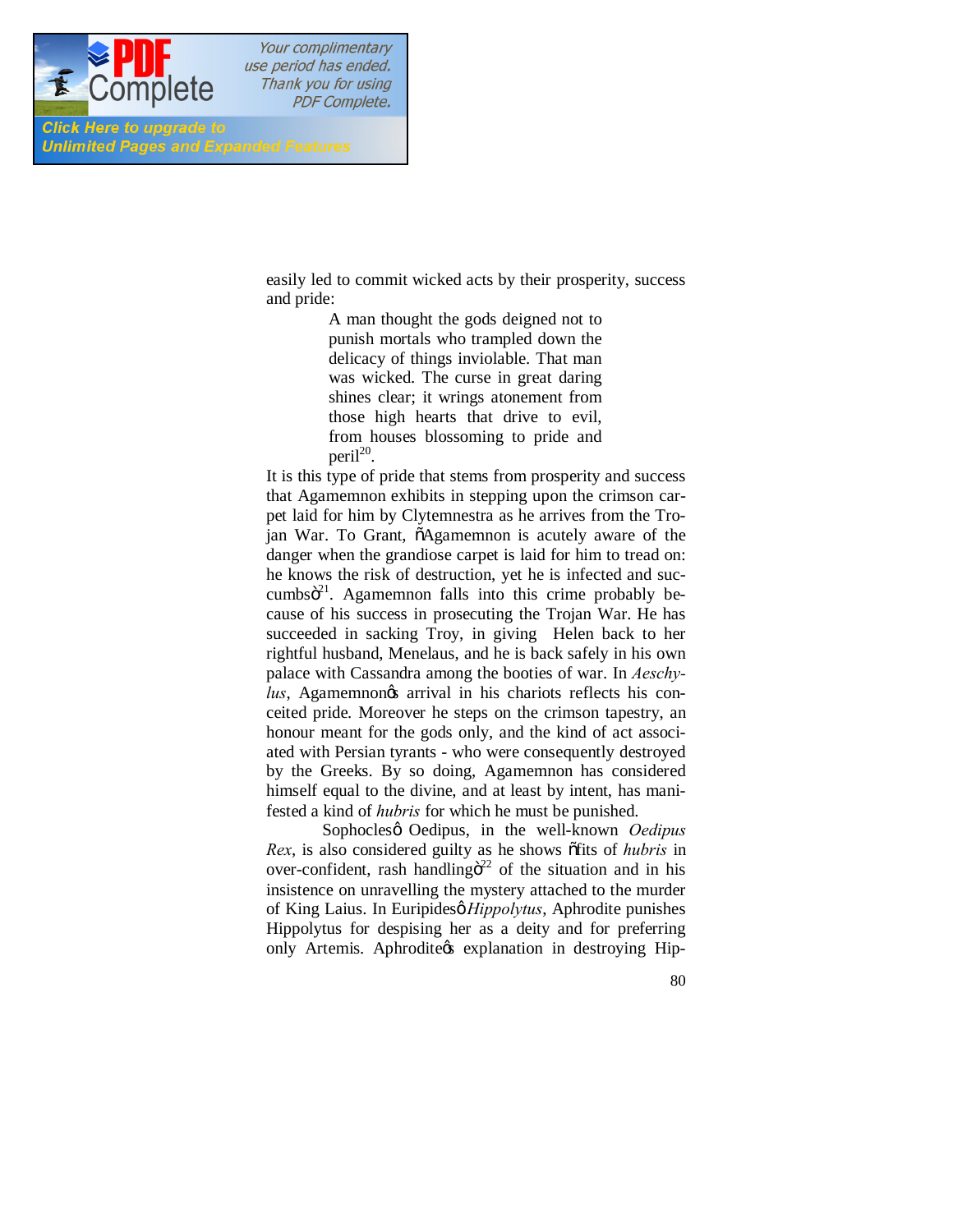easily led to commit wicked acts by their prosperity, success and pride:

> A man thought the gods deigned not to punish mortals who trampled down the delicacy of things inviolable. That man was wicked. The curse in great daring shines clear; it wrings atonement from those high hearts that drive to evil, from houses blossoming to pride and  $peri<sup>20</sup>$ .

It is this type of pride that stems from prosperity and success that Agamemnon exhibits in stepping upon the crimson carpet laid for him by Clytemnestra as he arrives from the Trojan War. To Grant,  $\tilde{o}$ Agamemnon is acutely aware of the danger when the grandiose carpet is laid for him to tread on: he knows the risk of destruction, yet he is infected and suc $cumbsö<sup>21</sup>$ . Agamemnon falls into this crime probably because of his success in prosecuting the Trojan War. He has succeeded in sacking Troy, in giving Helen back to her rightful husband, Menelaus, and he is back safely in his own palace with Cassandra among the booties of war. In *Aeschylus*, Agamemnongs arrival in his chariots reflects his conceited pride. Moreover he steps on the crimson tapestry, an honour meant for the gods only, and the kind of act associated with Persian tyrants - who were consequently destroyed by the Greeks. By so doing, Agamemnon has considered himself equal to the divine, and at least by intent, has manifested a kind of *hubris* for which he must be punished.

Sophoclesø Oedipus, in the well-known *Oedipus Rex*, is also considered guilty as he shows of *hubris* in over-confident, rash handling $\ddot{\sigma}^2$  of the situation and in his insistence on unravelling the mystery attached to the murder of King Laius. In Euripidesø *Hippolytus*, Aphrodite punishes Hippolytus for despising her as a deity and for preferring only Artemis. Aphrodite ts explanation in destroying Hip-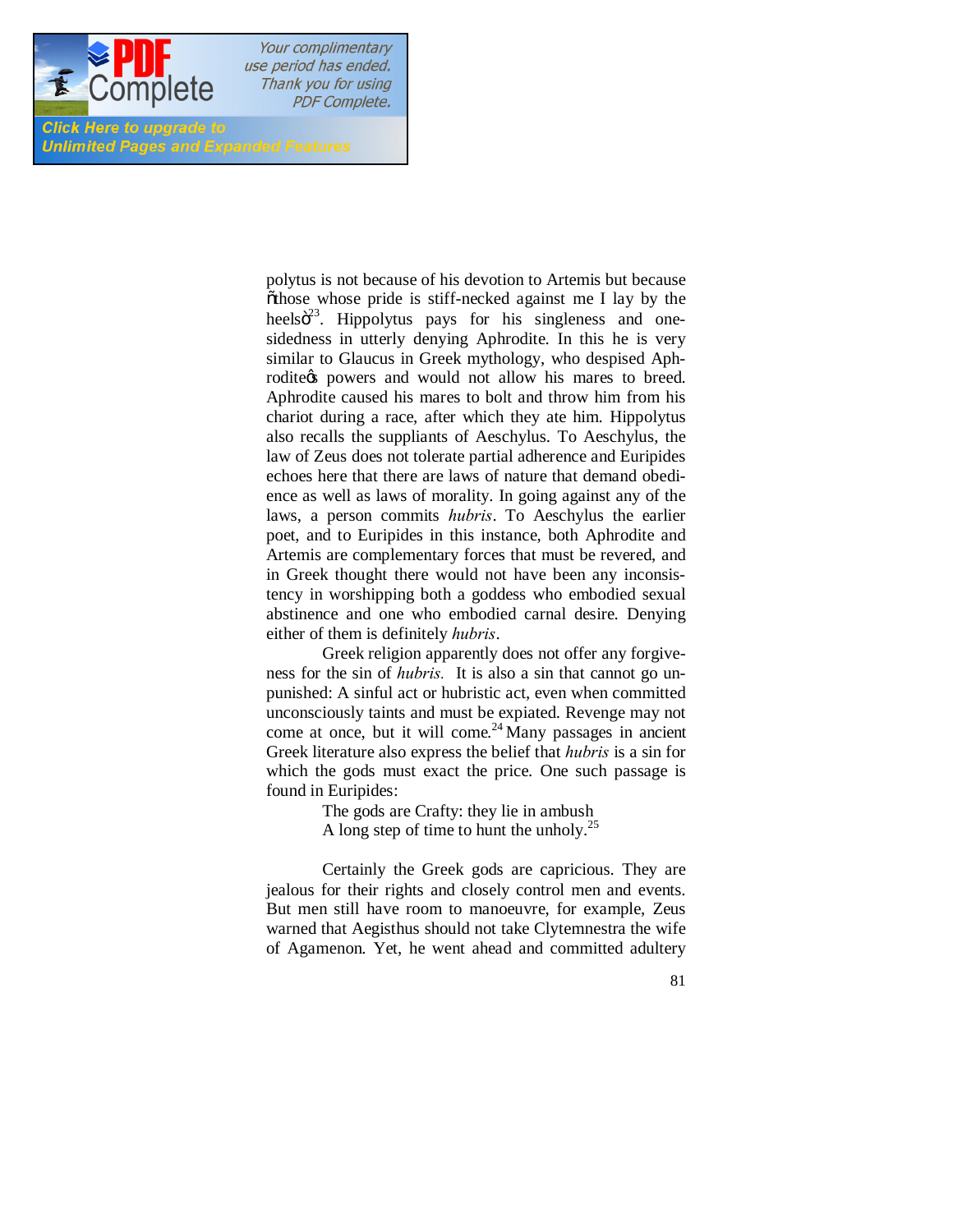polytus is not because of his devotion to Artemis but because  $\ddot{\text{o}}$  those whose pride is stiff-necked against me I lay by the heels $\ddot{o}^{23}$ . Hippolytus pays for his singleness and onesidedness in utterly denying Aphrodite. In this he is very similar to Glaucus in Greek mythology, who despised Aphroditegs powers and would not allow his mares to breed. Aphrodite caused his mares to bolt and throw him from his chariot during a race, after which they ate him. Hippolytus also recalls the suppliants of Aeschylus. To Aeschylus, the law of Zeus does not tolerate partial adherence and Euripides echoes here that there are laws of nature that demand obedience as well as laws of morality. In going against any of the laws, a person commits *hubris*. To Aeschylus the earlier poet, and to Euripides in this instance, both Aphrodite and Artemis are complementary forces that must be revered, and in Greek thought there would not have been any inconsistency in worshipping both a goddess who embodied sexual abstinence and one who embodied carnal desire. Denying either of them is definitely *hubris*.

Greek religion apparently does not offer any forgiveness for the sin of *hubris.* It is also a sin that cannot go unpunished: A sinful act or hubristic act, even when committed unconsciously taints and must be expiated. Revenge may not come at once, but it will come.<sup>24</sup> Many passages in ancient Greek literature also express the belief that *hubris* is a sin for which the gods must exact the price. One such passage is found in Euripides:

> The gods are Crafty: they lie in ambush A long step of time to hunt the unholy.<sup>25</sup>

Certainly the Greek gods are capricious. They are jealous for their rights and closely control men and events. But men still have room to manoeuvre, for example, Zeus warned that Aegisthus should not take Clytemnestra the wife of Agamenon. Yet, he went ahead and committed adultery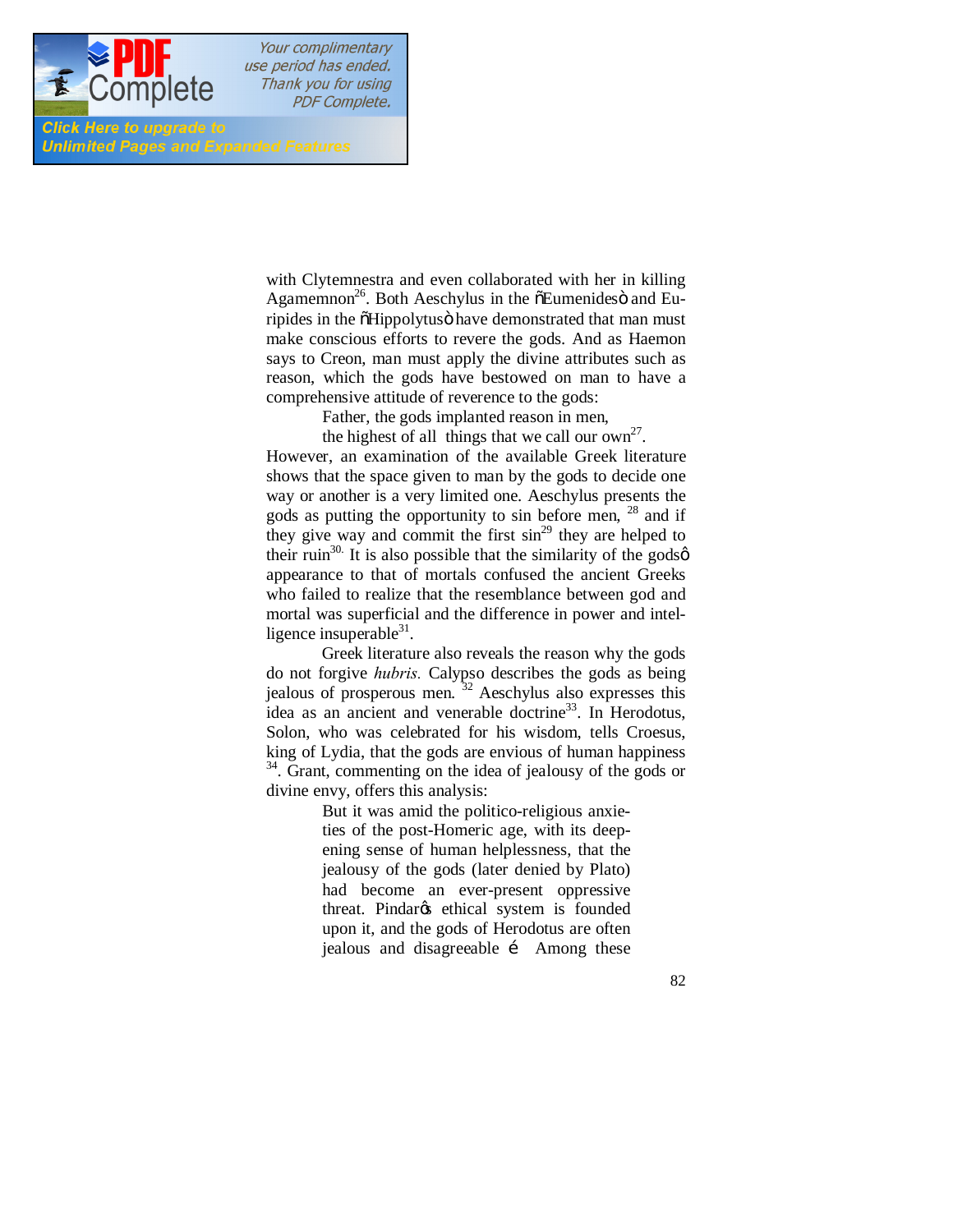with Clytemnestra and even collaborated with her in killing Agamemnon<sup>26</sup>. Both Aeschylus in the  $\delta$ Eumenides and Euripides in the  $\tilde{o}$ Hippolytus $\ddot{o}$  have demonstrated that man must make conscious efforts to revere the gods. And as Haemon says to Creon, man must apply the divine attributes such as reason, which the gods have bestowed on man to have a comprehensive attitude of reverence to the gods:

Father, the gods implanted reason in men,

the highest of all things that we call our  $own<sup>27</sup>$ .

However, an examination of the available Greek literature shows that the space given to man by the gods to decide one way or another is a very limited one. Aeschylus presents the gods as putting the opportunity to sin before men, <sup>28</sup> and if they give way and commit the first  $\sin^{29}$  they are helped to their ruin<sup>30.</sup> It is also possible that the similarity of the gods $\phi$ appearance to that of mortals confused the ancient Greeks who failed to realize that the resemblance between god and mortal was superficial and the difference in power and intelligence insuperable $31$ .

 Greek literature also reveals the reason why the gods do not forgive *hubris.* Calypso describes the gods as being jealous of prosperous men. <sup>32</sup> Aeschylus also expresses this  $\frac{1}{2}$  dea as an ancient and venerable doctrine<sup>33</sup>. In Herodotus, Solon, who was celebrated for his wisdom, tells Croesus, king of Lydia, that the gods are envious of human happiness  $34$ . Grant, commenting on the idea of jealousy of the gods or divine envy, offers this analysis:

> But it was amid the politico-religious anxieties of the post-Homeric age, with its deepening sense of human helplessness, that the jealousy of the gods (later denied by Plato) had become an ever-present oppressive threat. Pindar $\alpha$  ethical system is founded upon it, and the gods of Herodotus are often jealous and disagreeable i Among these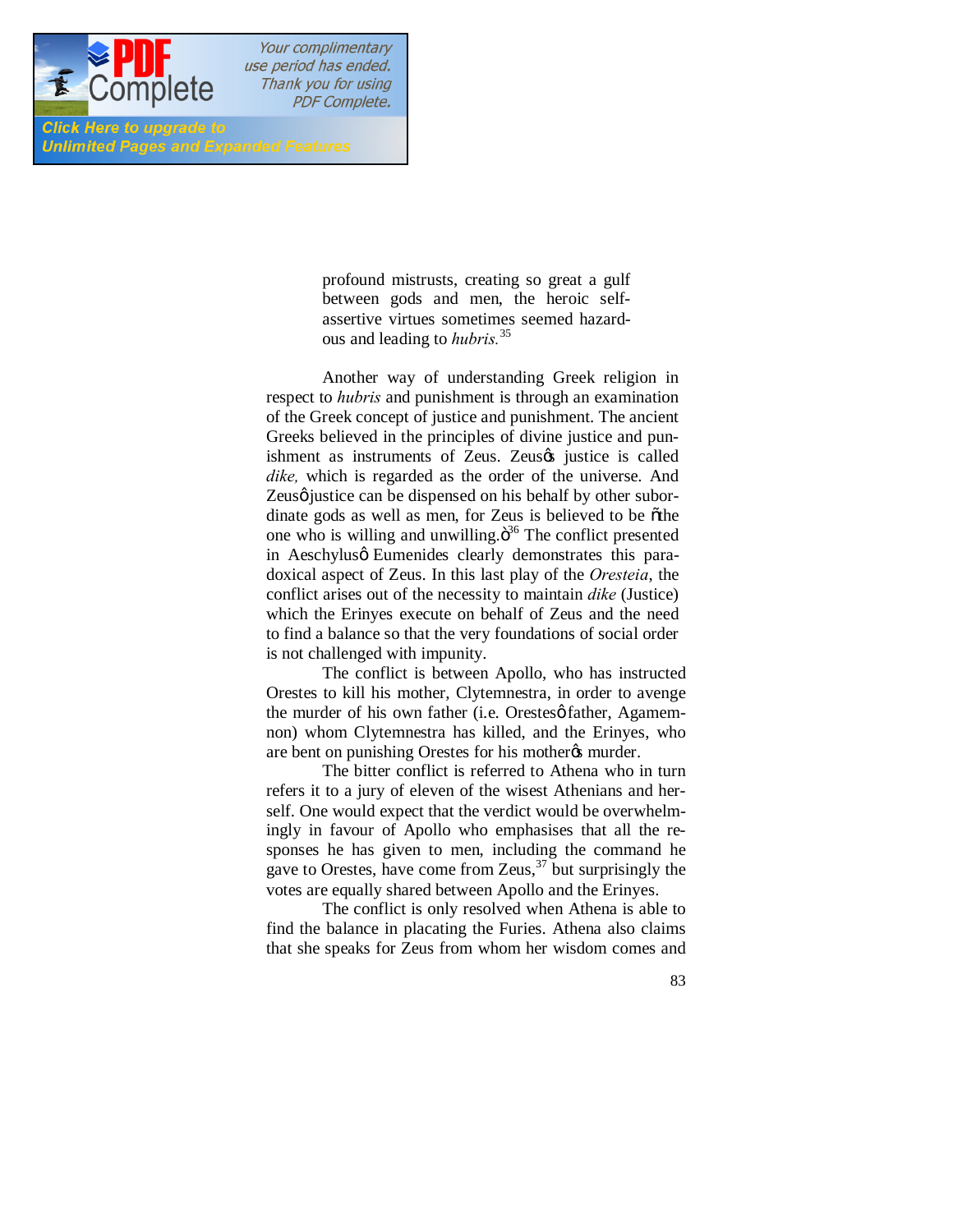profound mistrusts, creating so great a gulf between gods and men, the heroic selfassertive virtues sometimes seemed hazardous and leading to *hubris.*<sup>35</sup>

Another way of understanding Greek religion in respect to *hubris* and punishment is through an examination of the Greek concept of justice and punishment. The ancient Greeks believed in the principles of divine justice and punishment as instruments of Zeus. Zeus & justice is called *dike,* which is regarded as the order of the universe. And Zeusø justice can be dispensed on his behalf by other subordinate gods as well as men, for Zeus is believed to be other one who is willing and unwilling. $\ddot{\sigma}^{36}$  The conflict presented in Aeschylusø Eumenides clearly demonstrates this paradoxical aspect of Zeus. In this last play of the *Oresteia*, the conflict arises out of the necessity to maintain *dike* (Justice) which the Erinyes execute on behalf of Zeus and the need to find a balance so that the very foundations of social order is not challenged with impunity.

The conflict is between Apollo, who has instructed Orestes to kill his mother, Clytemnestra, in order to avenge the murder of his own father (i.e. Orestesø father, Agamemnon) whom Clytemnestra has killed, and the Erinyes, who are bent on punishing Orestes for his mother  $\alpha$  murder.

The bitter conflict is referred to Athena who in turn refers it to a jury of eleven of the wisest Athenians and herself. One would expect that the verdict would be overwhelmingly in favour of Apollo who emphasises that all the responses he has given to men, including the command he gave to Orestes, have come from Zeus,  $37$  but surprisingly the votes are equally shared between Apollo and the Erinyes.

The conflict is only resolved when Athena is able to find the balance in placating the Furies. Athena also claims that she speaks for Zeus from whom her wisdom comes and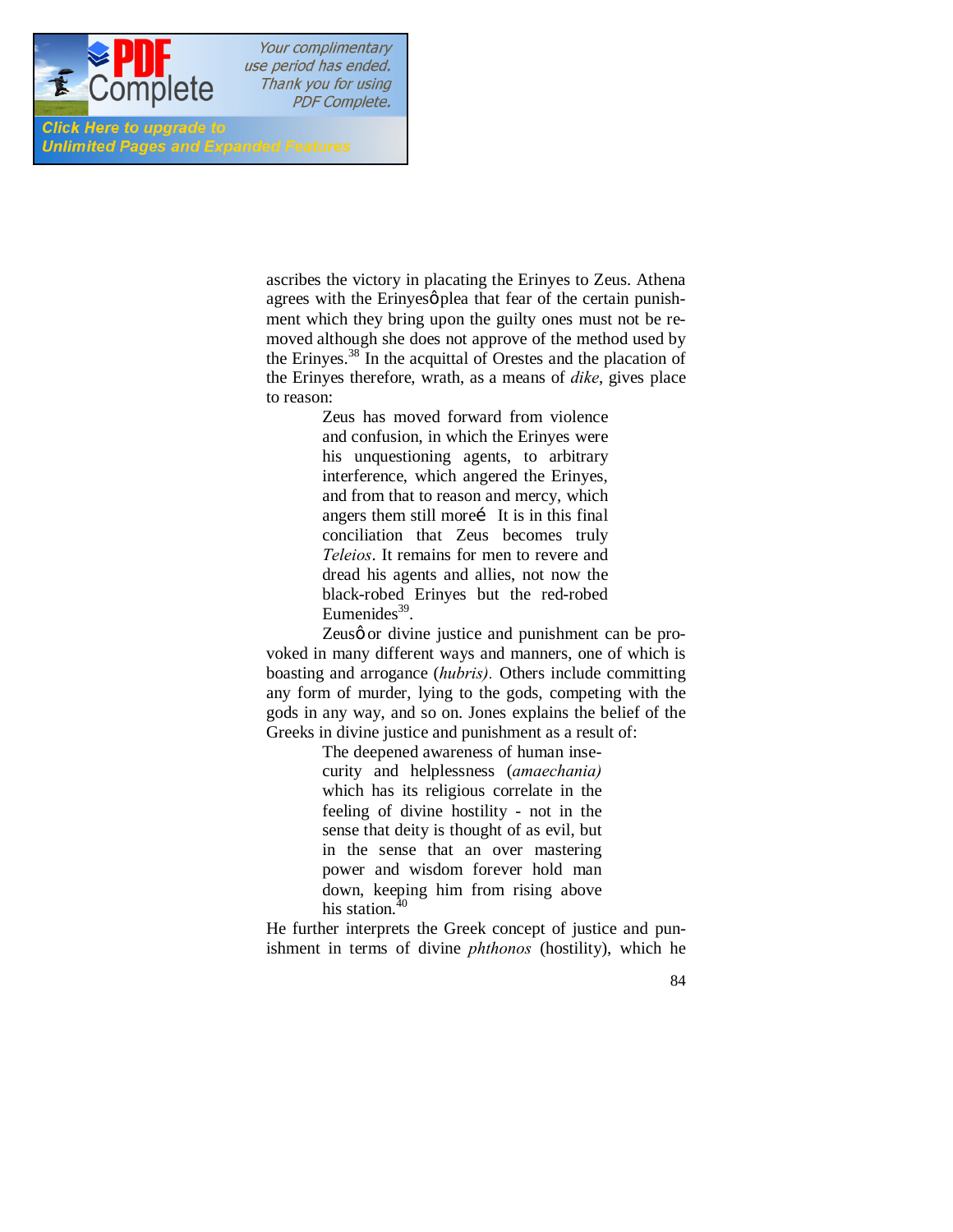ascribes the victory in placating the Erinyes to Zeus. Athena agrees with the Erinyesø plea that fear of the certain punishment which they bring upon the guilty ones must not be removed although she does not approve of the method used by the Erinyes.<sup>38</sup> In the acquittal of Orestes and the placation of the Erinyes therefore, wrath, as a means of *dike*, gives place to reason:

> Zeus has moved forward from violence and confusion, in which the Erinyes were his unquestioning agents, to arbitrary interference, which angered the Erinyes, and from that to reason and mercy, which angers them still more iIt is in this final conciliation that Zeus becomes truly *Teleios*. It remains for men to revere and dread his agents and allies, not now the black-robed Erinyes but the red-robed Eumenides<sup>39</sup>

Zeusø or divine justice and punishment can be provoked in many different ways and manners, one of which is boasting and arrogance (*hubris).* Others include committing any form of murder, lying to the gods, competing with the gods in any way, and so on. Jones explains the belief of the Greeks in divine justice and punishment as a result of:

> The deepened awareness of human insecurity and helplessness (*amaechania)*  which has its religious correlate in the feeling of divine hostility - not in the sense that deity is thought of as evil, but in the sense that an over mastering power and wisdom forever hold man down, keeping him from rising above his station  $30$

He further interprets the Greek concept of justice and punishment in terms of divine *phthonos* (hostility), which he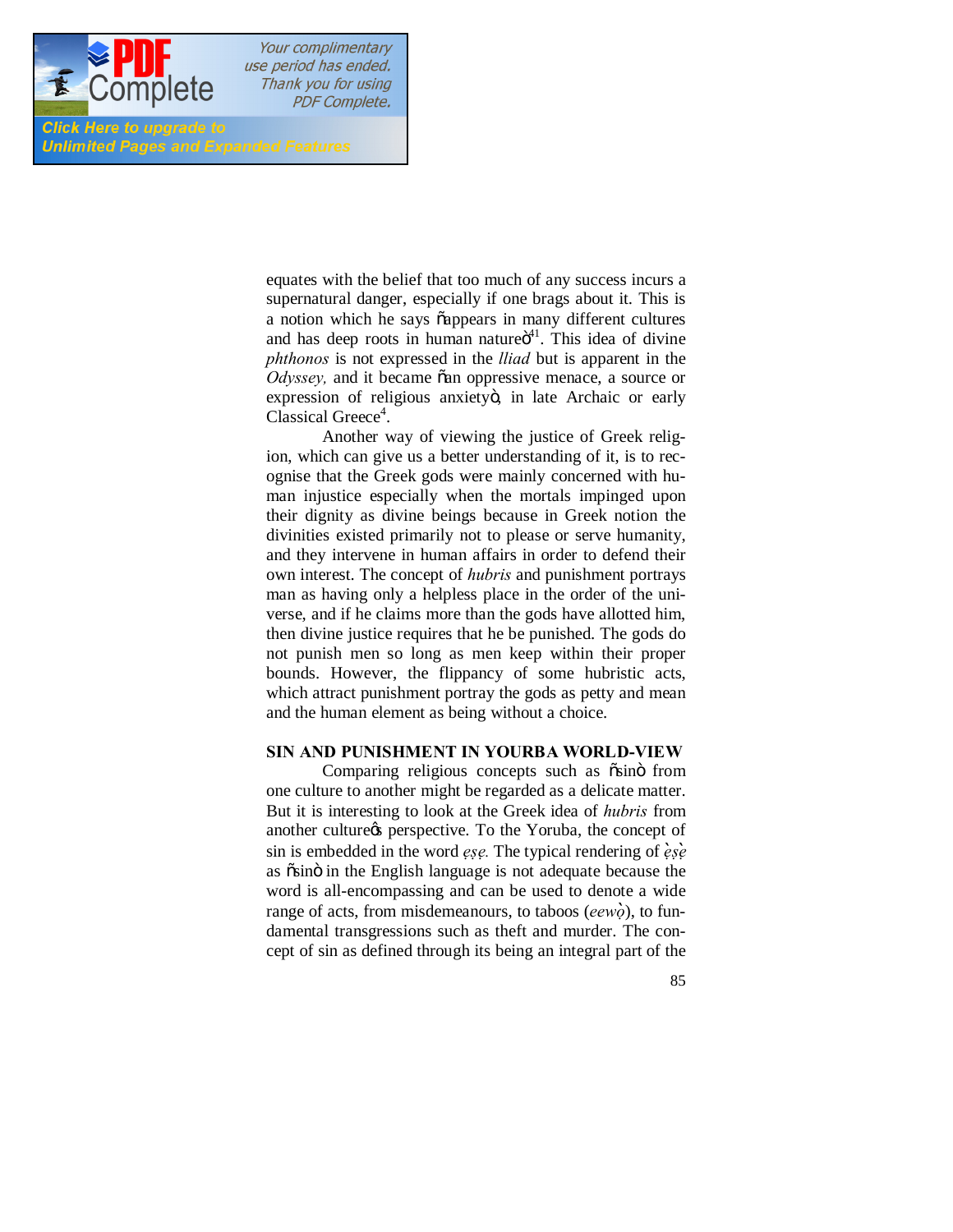equates with the belief that too much of any success incurs a supernatural danger, especially if one brags about it. This is a notion which he says õappears in many different cultures and has deep roots in human nature $\ddot{\mathrm{o}}^{41}$ . This idea of divine *phthonos* is not expressed in the *lliad* but is apparent in the *Odyssey*, and it became õan oppressive menace, a source or expression of religious anxietyö, in late Archaic or early Classical Greece<sup>4</sup>.

Another way of viewing the justice of Greek religion, which can give us a better understanding of it, is to recognise that the Greek gods were mainly concerned with human injustice especially when the mortals impinged upon their dignity as divine beings because in Greek notion the divinities existed primarily not to please or serve humanity, and they intervene in human affairs in order to defend their own interest. The concept of *hubris* and punishment portrays man as having only a helpless place in the order of the universe, and if he claims more than the gods have allotted him, then divine justice requires that he be punished. The gods do not punish men so long as men keep within their proper bounds. However, the flippancy of some hubristic acts, which attract punishment portray the gods as petty and mean and the human element as being without a choice.

## **SIN AND PUNISHMENT IN YOURBA WORLD-VIEW**

Comparing religious concepts such as  $\ddot{\text{o}}\text{sin}\ddot{\text{o}}$  from one culture to another might be regarded as a delicate matter. But it is interesting to look at the Greek idea of *hubris* from another culture *g* perspective. To the Yoruba, the concept of sin is embedded in the word *ese.* The typical rendering of *e*̀*se*̀ as  $\ddot{\text{o}}\sin\theta$  in the English language is not adequate because the word is all-encompassing and can be used to denote a wide range of acts, from misdemeanours, to taboos (*eewo*̀), to fundamental transgressions such as theft and murder. The concept of sin as defined through its being an integral part of the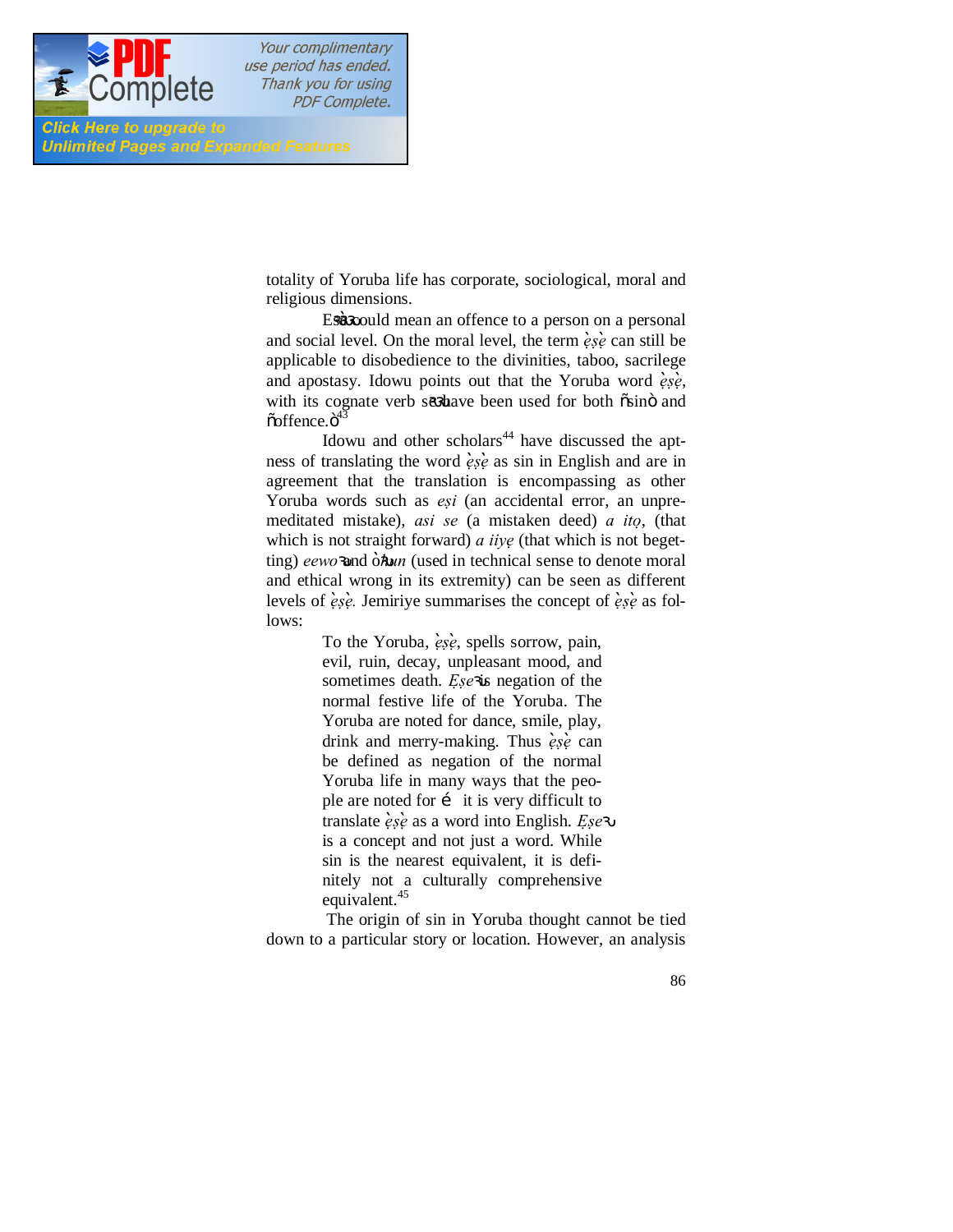totality of Yoruba life has corporate, sociological, moral and religious dimensions.

Ese could mean an offence to a person on a personal and social level. On the moral level, the term *e*̀*se*̀ can still be applicable to disobedience to the divinities, taboo, sacrilege and apostasy. Idowu points out that the Yoruba word *e*̀*se*̀, with its cognate verb se have been used for both  $\ddot{\text{o}}\text{sin}\ddot{\text{o}}$  and  $\arccos \frac{1}{3}$ 

Idowu and other scholars<sup>44</sup> have discussed the aptness of translating the word *e*̀*se*̀ as sin in English and are in agreement that the translation is encompassing as other Yoruba words such as *esi* (an accidental error, an unpremeditated mistake), *asi se* (a mistaken deed) *a ito*, (that which is not straight forward) *a iiye* (that which is not begetting) *eewo* and  $\delta$ *hun* (used in technical sense to denote moral and ethical wrong in its extremity) can be seen as different levels of *e*̀*se*̀*.* Jemiriye summarises the concept of *e*̀*se*̀ as follows:

> To the Yoruba, *e*̀*se*̀, spells sorrow, pain, evil, ruin, decay, unpleasant mood, and sometimes death. *Ese* is negation of the normal festive life of the Yoruba. The Yoruba are noted for dance, smile, play, drink and merry-making. Thus *e*̀*se*̀ can be defined as negation of the normal Yoruba life in many ways that the people are noted for i it is very difficult to translate *e*̀*se*̀ as a word into English. *Ese* is a concept and not just a word. While sin is the nearest equivalent, it is definitely not a culturally comprehensive equivalent.<sup>45</sup>

The origin of sin in Yoruba thought cannot be tied down to a particular story or location. However, an analysis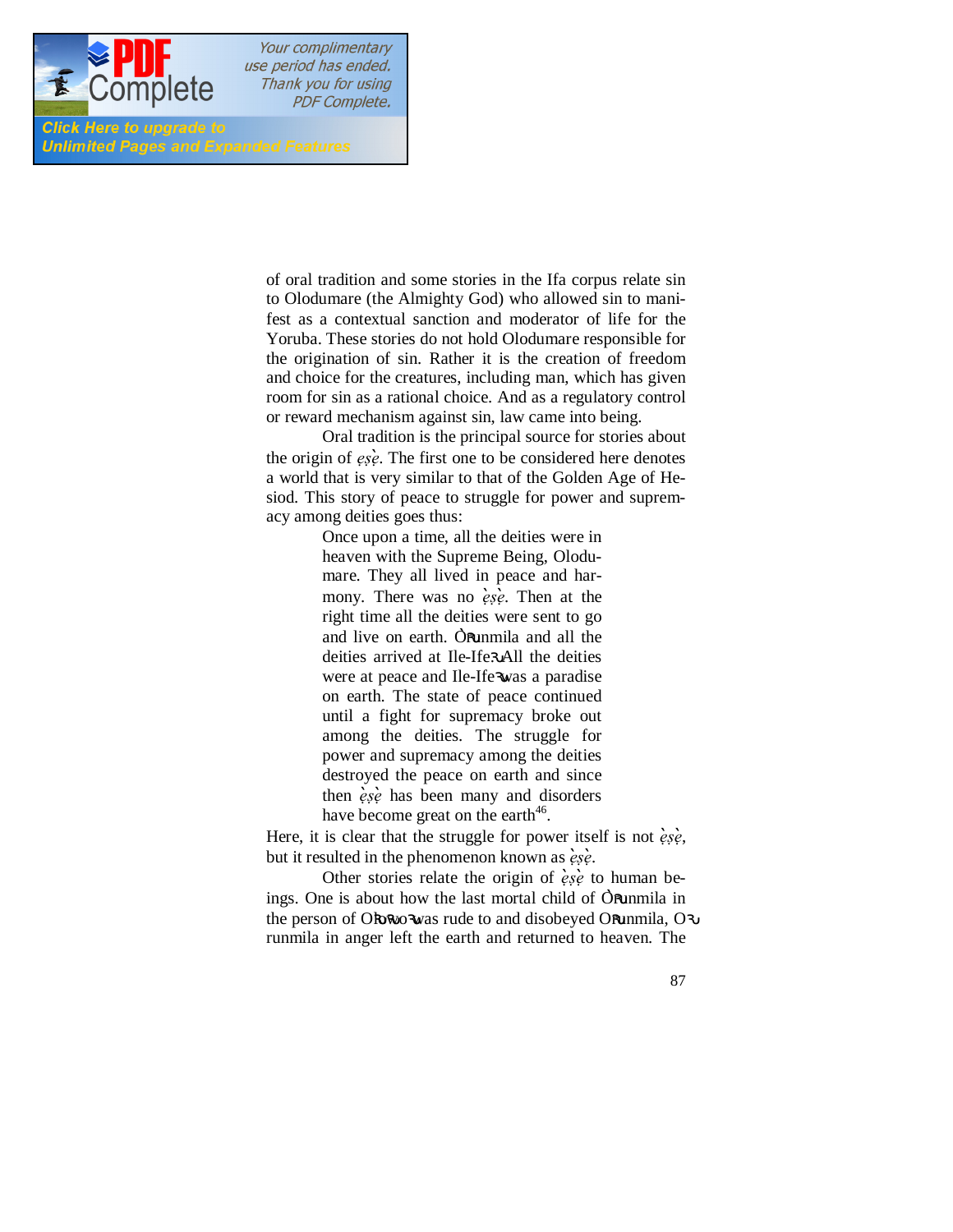of oral tradition and some stories in the Ifa corpus relate sin to Olodumare (the Almighty God) who allowed sin to manifest as a contextual sanction and moderator of life for the Yoruba. These stories do not hold Olodumare responsible for the origination of sin. Rather it is the creation of freedom and choice for the creatures, including man, which has given room for sin as a rational choice. And as a regulatory control or reward mechanism against sin, law came into being.

Oral tradition is the principal source for stories about the origin of *ese*̀. The first one to be considered here denotes a world that is very similar to that of the Golden Age of Hesiod. This story of peace to struggle for power and supremacy among deities goes thus:

> Once upon a time, all the deities were in heaven with the Supreme Being, Olodumare. They all lived in peace and harmony. There was no *e*̀*se*̀. Then at the right time all the deities were sent to go and live on earth. Òrunmila and all the deities arrived at Ile-Ife. All the deities were at peace and Ile-Ife was a paradise on earth. The state of peace continued until a fight for supremacy broke out among the deities. The struggle for power and supremacy among the deities destroyed the peace on earth and since then *e*̀*se*̀ has been many and disorders have become great on the earth<sup>46</sup>.

Here, it is clear that the struggle for power itself is not *e*̀*se*̀, but it resulted in the phenomenon known as *e*̀*se*̀.

Other stories relate the origin of *e*̀*se*̀ to human beings. One is about how the last mortal child of Òrunmila in the person of Olowo was rude to and disobeyed Orunmila, O runmila in anger left the earth and returned to heaven. The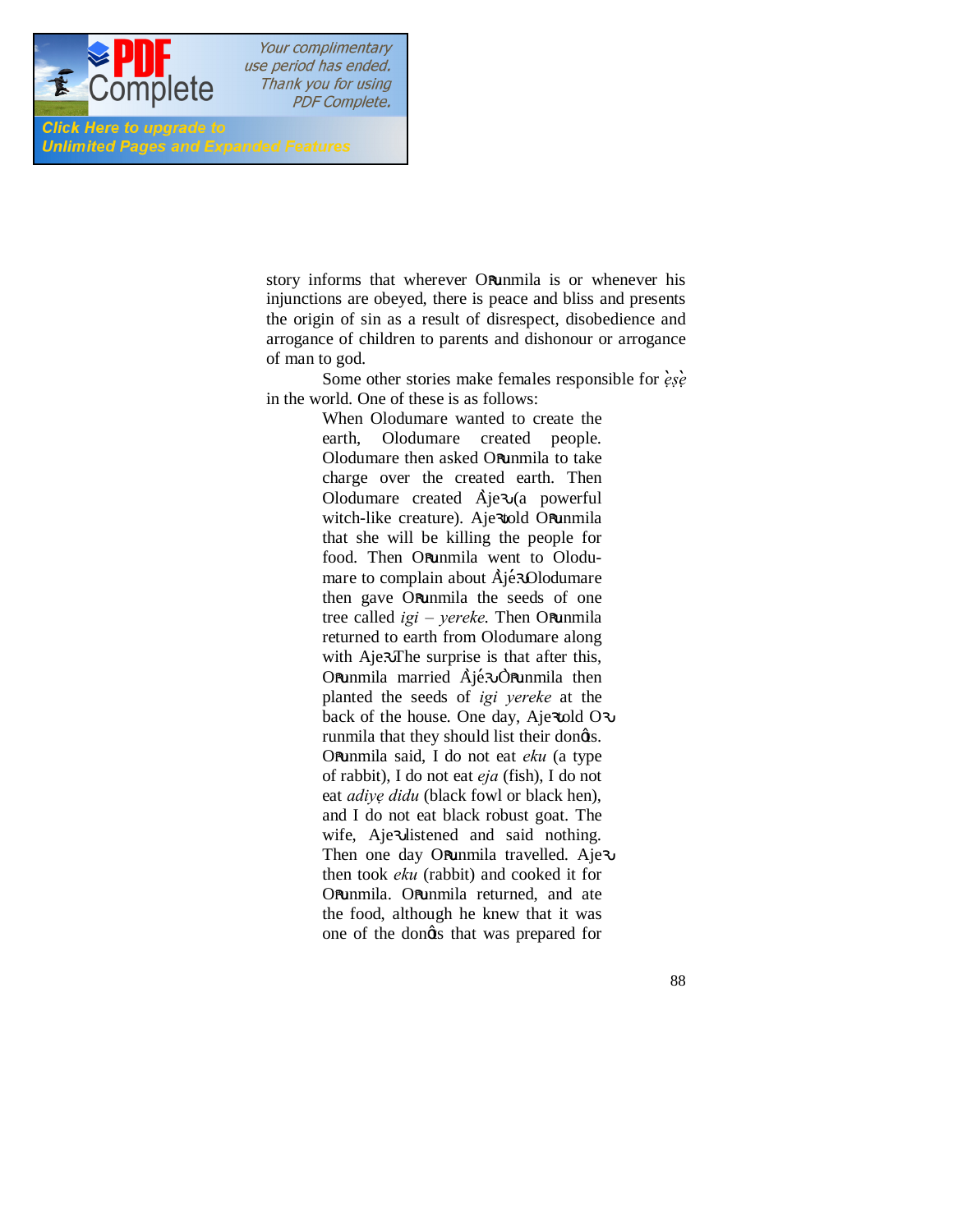story informs that wherever Orunmila is or whenever his injunctions are obeyed, there is peace and bliss and presents the origin of sin as a result of disrespect, disobedience and arrogance of children to parents and dishonour or arrogance of man to god.

Some other stories make females responsible for *e*̀*se*̀ in the world. One of these is as follows:

When Olodumare wanted to create the earth, Olodumare created people. Olodumare then asked Orunmila to take charge over the created earth. Then Olodumare created Àje (a powerful witch-like creature). Aje told Orunmila that she will be killing the people for food. Then Orunmila went to Olodumare to complain about Àjé. Olodumare then gave Orunmila the seeds of one tree called *igi – yereke*. Then Orunmila returned to earth from Olodumare along with Aje. The surprise is that after this, Orunmila married Àjé. Òrunmila then planted the seeds of *igi yereke* at the back of the house. One day, Aje told O runmila that they should list their dongts. Orunmila said, I do not eat *eku* (a type of rabbit), I do not eat *eja* (fish), I do not eat *adiye didu* (black fowl or black hen), and I do not eat black robust goat. The wife, Aje listened and said nothing. Then one day Orunmila travelled. Aje then took *eku* (rabbit) and cooked it for Orunmila. Orunmila returned, and ate the food, although he knew that it was one of the dongts that was prepared for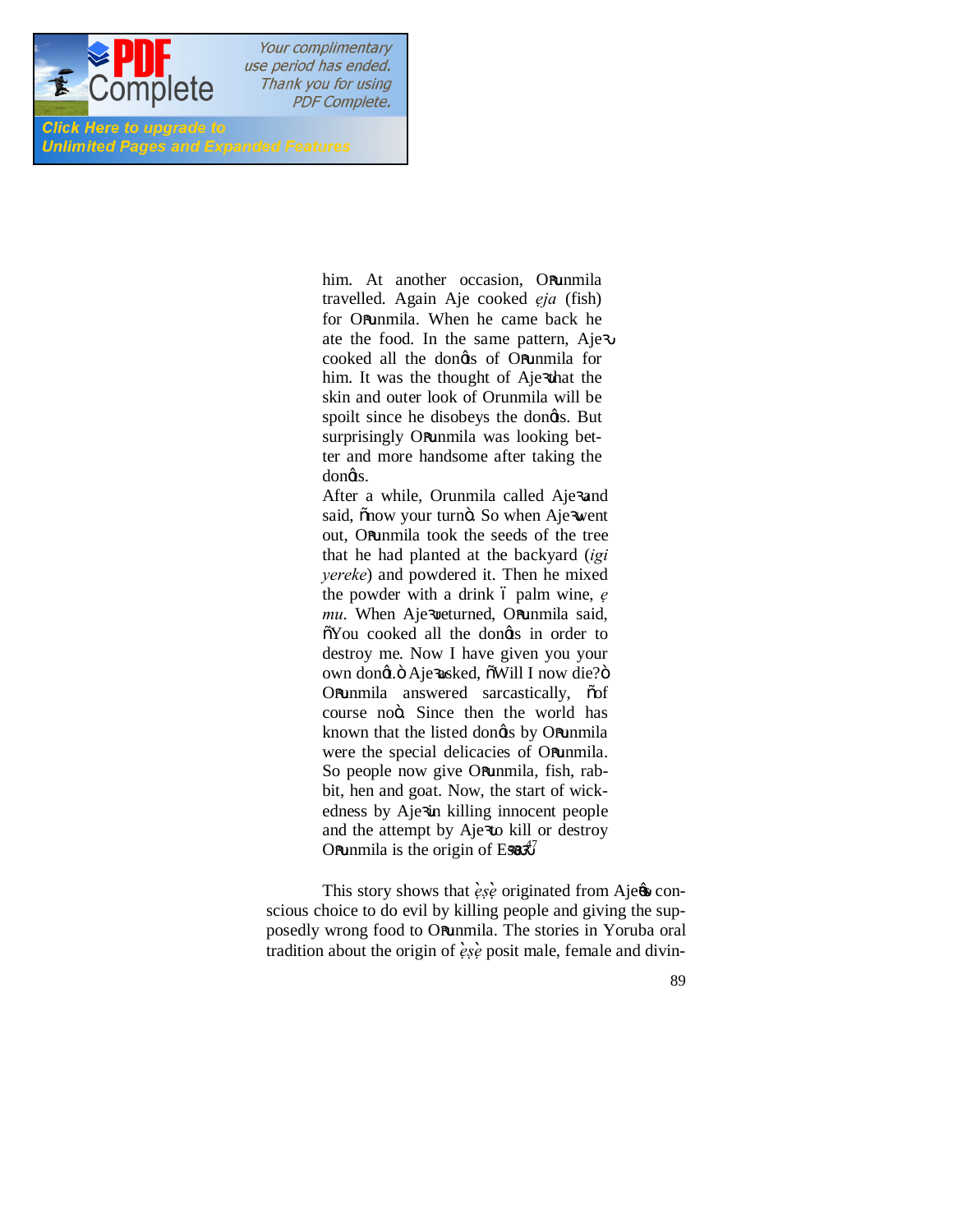him. At another occasion, Orunmila travelled. Again Aje cooked *eja* (fish) for Orunmila. When he came back he ate the food. In the same pattern, Aje cooked all the dongts of Orunmila for him. It was the thought of Aje that the skin and outer look of Orunmila will be spoilt since he disobeys the dongts. But surprisingly Orunmila was looking better and more handsome after taking the dongs.

After a while, Orunmila called Aje and said, õnow your turnö. So when Aje went out, Orunmila took the seeds of the tree that he had planted at the backyard (*igi yereke*) and powdered it. Then he mixed the powder with a drink 6 palm wine, *e mu*. When Aje returned, Orunmila said,  $\delta$ You cooked all the dongts in order to destroy me. Now I have given you your own dongt. Ö Aje asked, õ Will I now die? Ö Orunmila answered sarcastically,  $\tilde{0}$ course noo. Since then the world has known that the listed dongts by Orunmila were the special delicacies of Orunmila. So people now give Orunmila, fish, rabbit, hen and goat. Now, the start of wickedness by Aje in killing innocent people and the attempt by Aje to kill or destroy Orunmila is the origin of Ese. 47

This story shows that *e*<sup>se</sup> originated from Aje $\alpha$  conscious choice to do evil by killing people and giving the supposedly wrong food to Orunmila. The stories in Yoruba oral tradition about the origin of *e*̀*se*̀ posit male, female and divin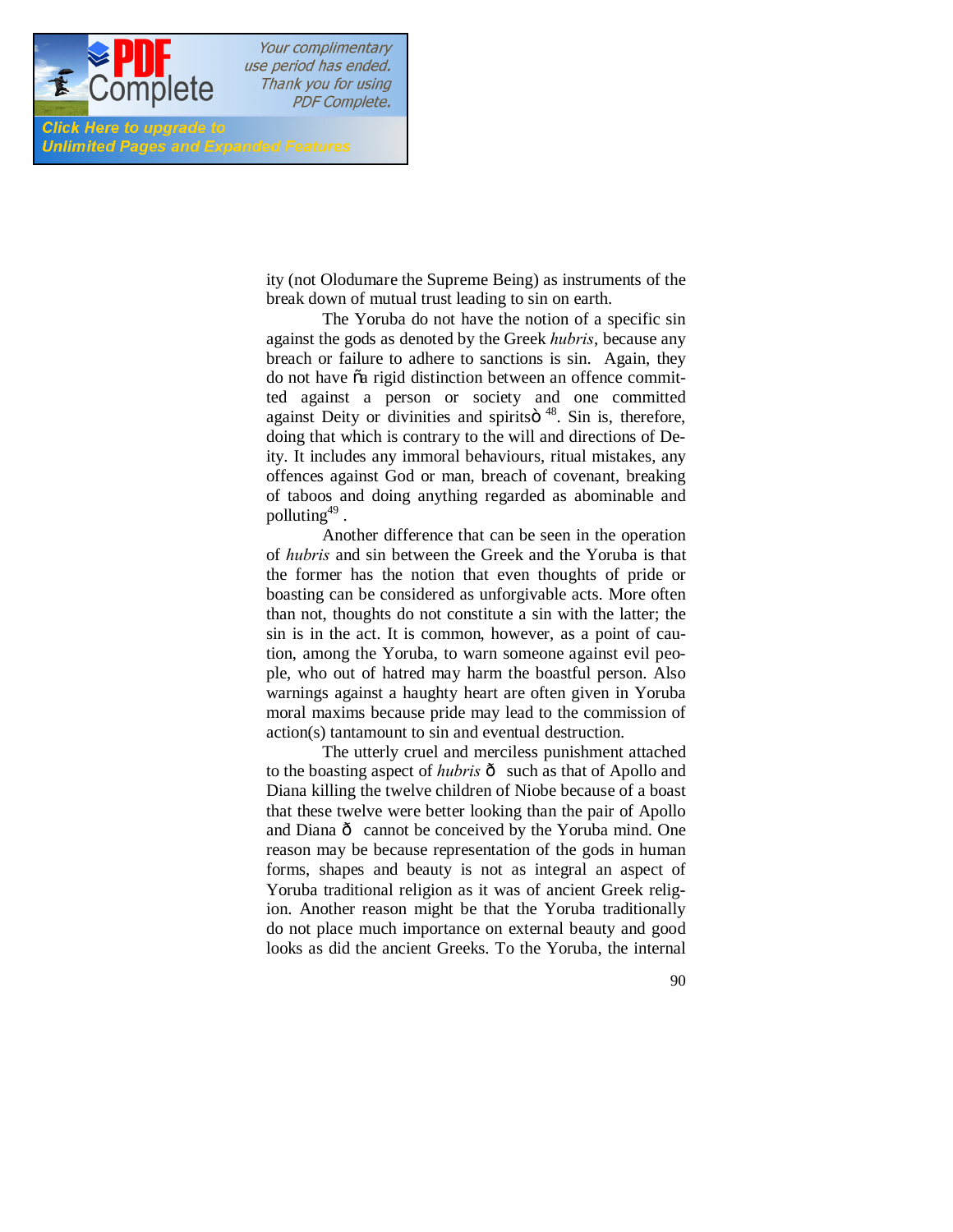ity (not Olodumare the Supreme Being) as instruments of the break down of mutual trust leading to sin on earth.

The Yoruba do not have the notion of a specific sin against the gods as denoted by the Greek *hubris*, because any breach or failure to adhere to sanctions is sin. Again, they do not have õa rigid distinction between an offence committed against a person or society and one committed against Deity or divinities and spirits $\ddot{o}^{48}$ . Sin is, therefore, doing that which is contrary to the will and directions of Deity. It includes any immoral behaviours, ritual mistakes, any offences against God or man, breach of covenant, breaking of taboos and doing anything regarded as abominable and polluting<sup>49</sup>.

Another difference that can be seen in the operation of *hubris* and sin between the Greek and the Yoruba is that the former has the notion that even thoughts of pride or boasting can be considered as unforgivable acts. More often than not, thoughts do not constitute a sin with the latter; the sin is in the act. It is common, however, as a point of caution, among the Yoruba, to warn someone against evil people, who out of hatred may harm the boastful person. Also warnings against a haughty heart are often given in Yoruba moral maxims because pride may lead to the commission of action(s) tantamount to sin and eventual destruction.

The utterly cruel and merciless punishment attached to the boasting aspect of *hubris*  $\hat{o}$  such as that of Apollo and Diana killing the twelve children of Niobe because of a boast that these twelve were better looking than the pair of Apollo and Diana  $\hat{o}$  cannot be conceived by the Yoruba mind. One reason may be because representation of the gods in human forms, shapes and beauty is not as integral an aspect of Yoruba traditional religion as it was of ancient Greek religion. Another reason might be that the Yoruba traditionally do not place much importance on external beauty and good looks as did the ancient Greeks. To the Yoruba, the internal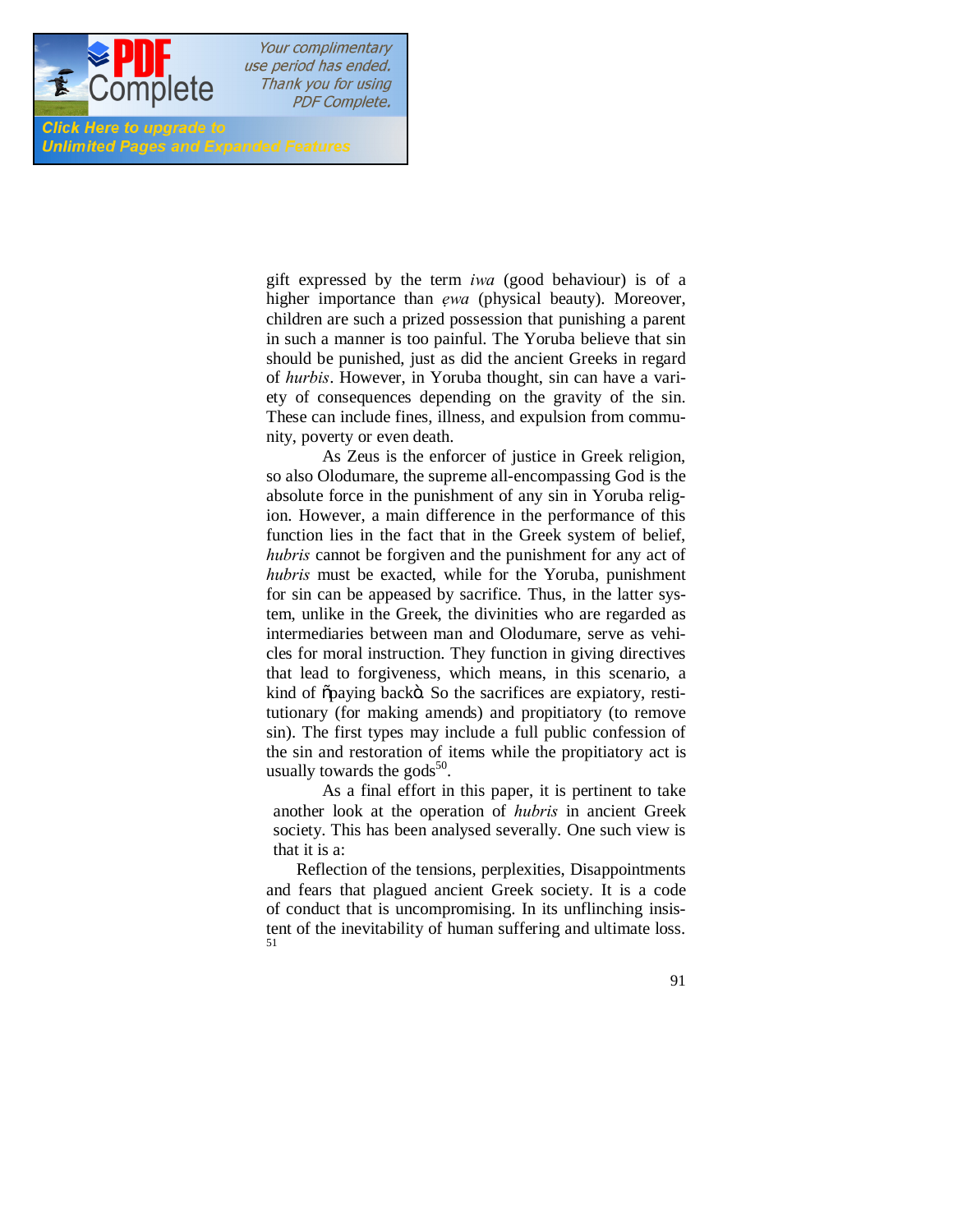gift expressed by the term *iwa* (good behaviour) is of a higher importance than *ewa* (physical beauty). Moreover, children are such a prized possession that punishing a parent in such a manner is too painful. The Yoruba believe that sin should be punished, just as did the ancient Greeks in regard of *hurbis*. However, in Yoruba thought, sin can have a variety of consequences depending on the gravity of the sin. These can include fines, illness, and expulsion from community, poverty or even death.

As Zeus is the enforcer of justice in Greek religion, so also Olodumare, the supreme all-encompassing God is the absolute force in the punishment of any sin in Yoruba religion. However, a main difference in the performance of this function lies in the fact that in the Greek system of belief, *hubris* cannot be forgiven and the punishment for any act of *hubris* must be exacted, while for the Yoruba, punishment for sin can be appeased by sacrifice. Thus, in the latter system, unlike in the Greek, the divinities who are regarded as intermediaries between man and Olodumare, serve as vehicles for moral instruction. They function in giving directives that lead to forgiveness, which means, in this scenario, a kind of  $\delta$ paying back $\ddot{o}$ . So the sacrifices are expiatory, restitutionary (for making amends) and propitiatory (to remove sin). The first types may include a full public confession of the sin and restoration of items while the propitiatory act is usually towards the gods<sup>50</sup>.

As a final effort in this paper, it is pertinent to take another look at the operation of *hubris* in ancient Greek society. This has been analysed severally. One such view is that it is a:

 Reflection of the tensions, perplexities, Disappointments and fears that plagued ancient Greek society. It is a code of conduct that is uncompromising. In its unflinching insistent of the inevitability of human suffering and ultimate loss. 51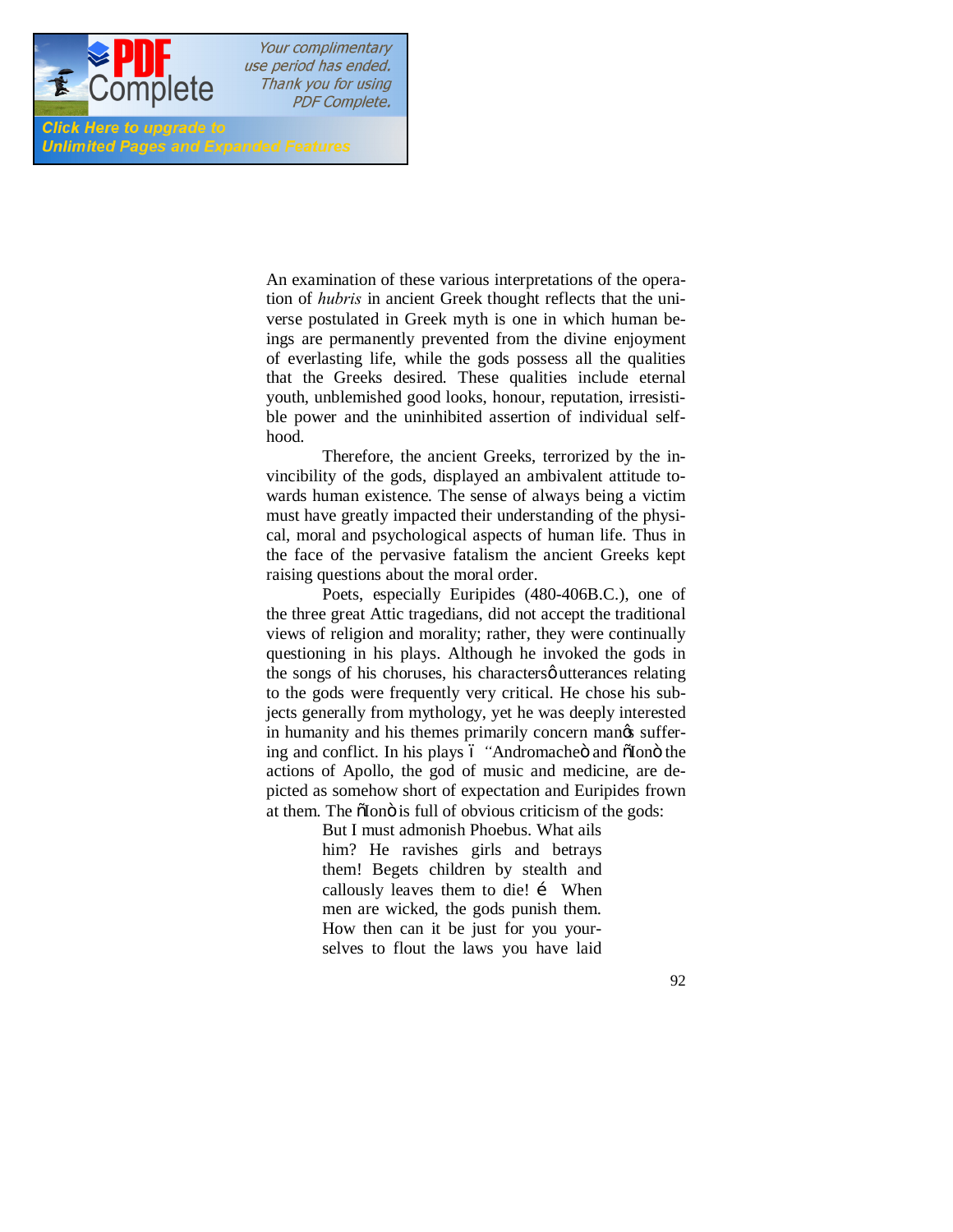An examination of these various interpretations of the operation of *hubris* in ancient Greek thought reflects that the universe postulated in Greek myth is one in which human beings are permanently prevented from the divine enjoyment of everlasting life, while the gods possess all the qualities that the Greeks desired. These qualities include eternal youth, unblemished good looks, honour, reputation, irresistible power and the uninhibited assertion of individual selfhood.

Therefore, the ancient Greeks, terrorized by the invincibility of the gods, displayed an ambivalent attitude towards human existence. The sense of always being a victim must have greatly impacted their understanding of the physical, moral and psychological aspects of human life. Thus in the face of the pervasive fatalism the ancient Greeks kept raising questions about the moral order.

Poets, especially Euripides (480-406B.C.), one of the three great Attic tragedians, did not accept the traditional views of religion and morality; rather, they were continually questioning in his plays. Although he invoked the gods in the songs of his choruses, his characters *o* utterances relating to the gods were frequently very critical. He chose his subjects generally from mythology, yet he was deeply interested in humanity and his themes primarily concern manos suffering and conflict. In his plays 6 "Andromache<sub>"</sub> and "olon" the actions of Apollo, the god of music and medicine, are depicted as somehow short of expectation and Euripides frown at them. The  $\delta$ Ion $\ddot{o}$  is full of obvious criticism of the gods:

> But I must admonish Phoebus. What ails him? He ravishes girls and betrays them! Begets children by stealth and callously leaves them to die! i When men are wicked, the gods punish them. How then can it be just for you yourselves to flout the laws you have laid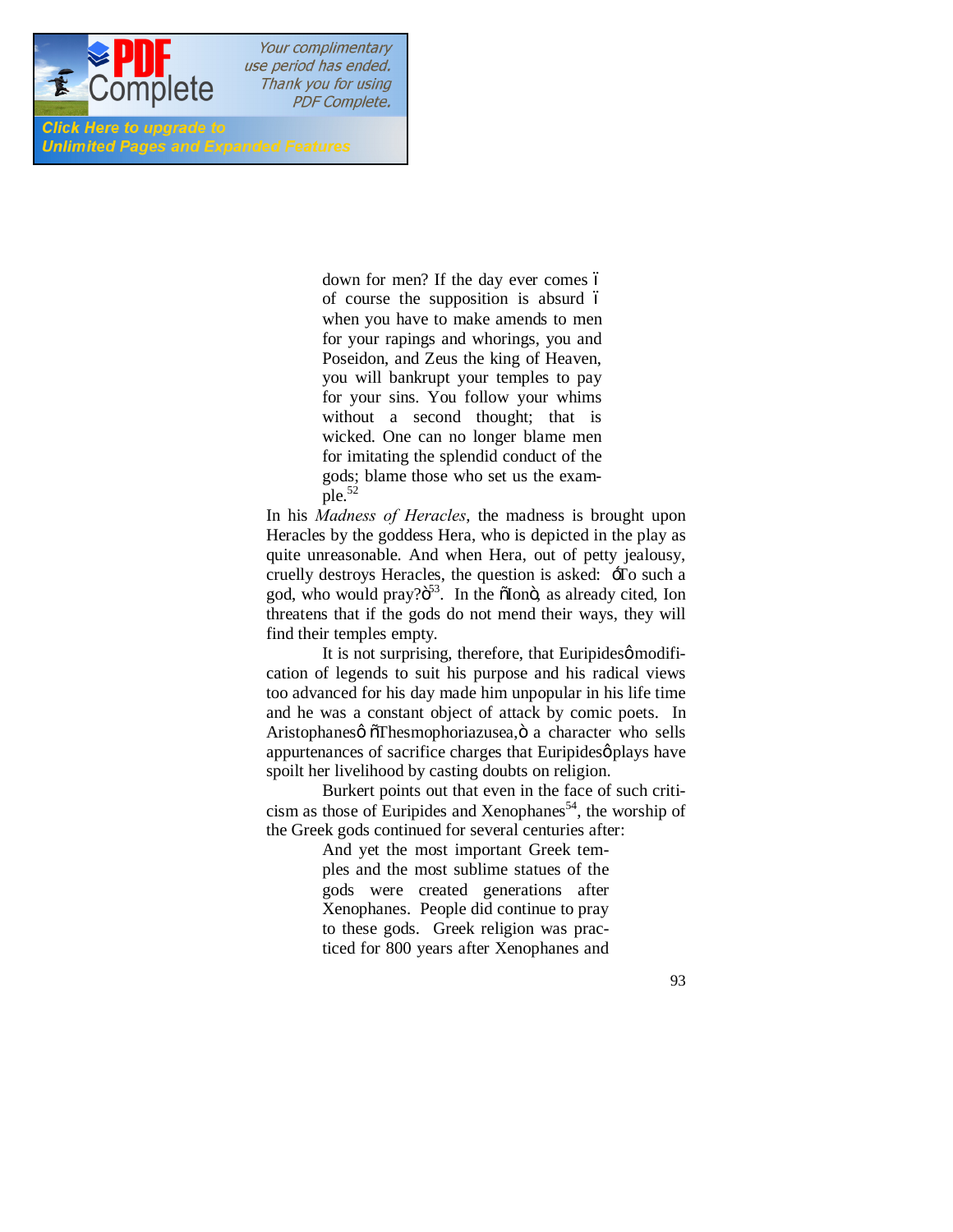down for men? If the day ever comes  $\acute{o}$ of course the supposition is absurd – when you have to make amends to men for your rapings and whorings, you and Poseidon, and Zeus the king of Heaven, you will bankrupt your temples to pay for your sins. You follow your whims without a second thought; that is wicked. One can no longer blame men for imitating the splendid conduct of the gods; blame those who set us the example.<sup>52</sup>

In his *Madness of Heracles*, the madness is brought upon Heracles by the goddess Hera, who is depicted in the play as quite unreasonable. And when Hera, out of petty jealousy, cruelly destroys Heracles, the question is asked:  $-$ To such a god, who would pray?"<sup>53</sup>. In the olono, as already cited, Ion threatens that if the gods do not mend their ways, they will find their temples empty.

It is not surprising, therefore, that Euripidesø modification of legends to suit his purpose and his radical views too advanced for his day made him unpopular in his life time and he was a constant object of attack by comic poets. In Aristophanesø öThesmophoriazusea, ö a character who sells appurtenances of sacrifice charges that Euripides oplays have spoilt her livelihood by casting doubts on religion.

Burkert points out that even in the face of such criticism as those of Euripides and Xenophanes<sup>54</sup>, the worship of the Greek gods continued for several centuries after:

> And yet the most important Greek temples and the most sublime statues of the gods were created generations after Xenophanes. People did continue to pray to these gods. Greek religion was practiced for 800 years after Xenophanes and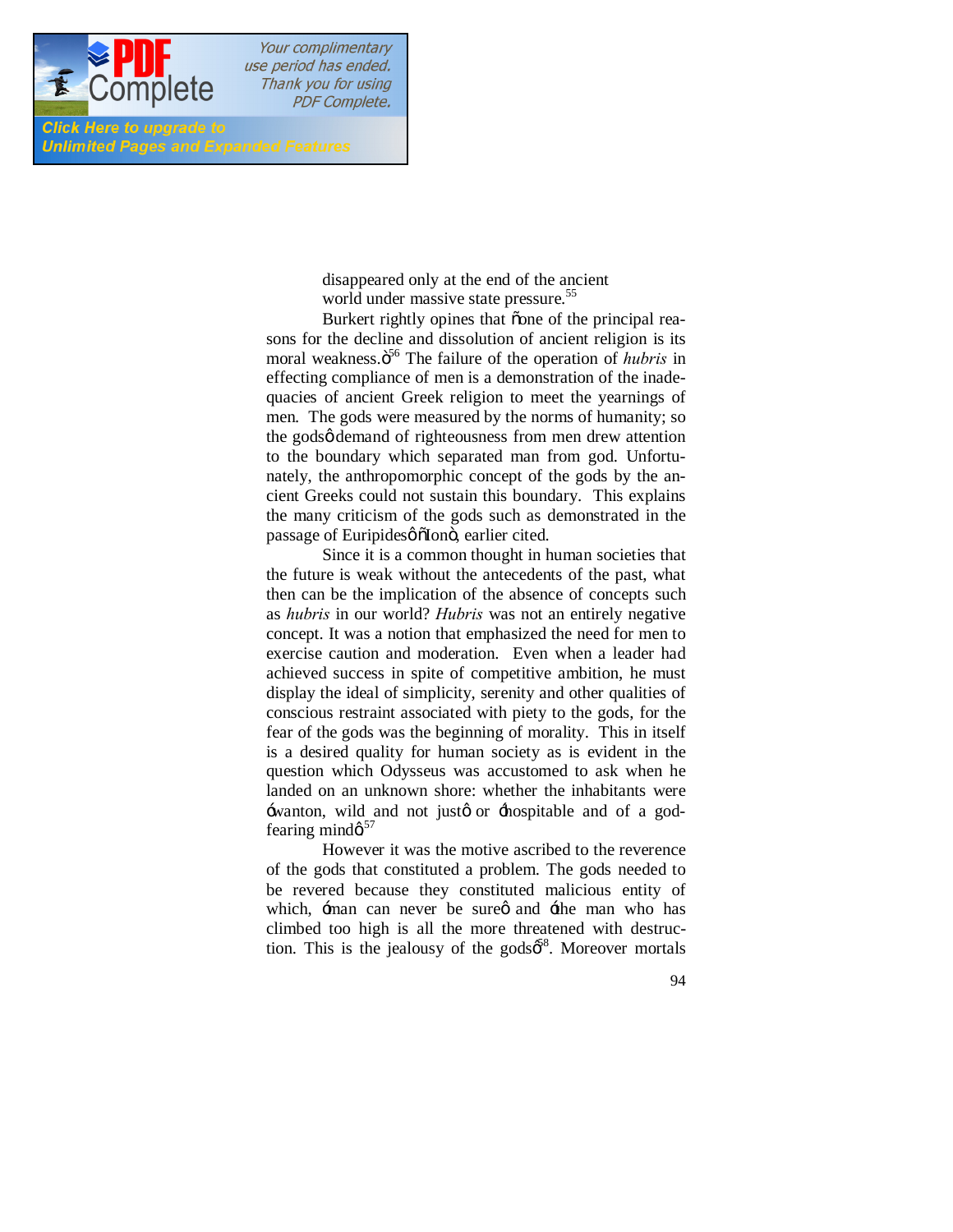disappeared only at the end of the ancient world under massive state pressure.<sup>55</sup>

Burkert rightly opines that one of the principal reasons for the decline and dissolution of ancient religion is its moral weakness.<sup>56</sup> The failure of the operation of *hubris* in effecting compliance of men is a demonstration of the inadequacies of ancient Greek religion to meet the yearnings of men. The gods were measured by the norms of humanity; so the godsø demand of righteousness from men drew attention to the boundary which separated man from god. Unfortunately, the anthropomorphic concept of the gods by the ancient Greeks could not sustain this boundary. This explains the many criticism of the gods such as demonstrated in the passage of Euripidesø õIonö, earlier cited.

Since it is a common thought in human societies that the future is weak without the antecedents of the past, what then can be the implication of the absence of concepts such as *hubris* in our world? *Hubris* was not an entirely negative concept. It was a notion that emphasized the need for men to exercise caution and moderation. Even when a leader had achieved success in spite of competitive ambition, he must display the ideal of simplicity, serenity and other qualities of conscious restraint associated with piety to the gods, for the fear of the gods was the beginning of morality. This in itself is a desired quality for human society as is evident in the question which Odysseus was accustomed to ask when he landed on an unknown shore: whether the inhabitants were -wanton, wild and not just or -hospitable and of a godfearing mind $\alpha^{57}$ 

However it was the motive ascribed to the reverence of the gods that constituted a problem. The gods needed to be revered because they constituted malicious entity of which,  $\pm$ man can never be sure and  $\pm$ he man who has climbed too high is all the more threatened with destruction. This is the jealousy of the gods $\phi^{\$8}$ . Moreover mortals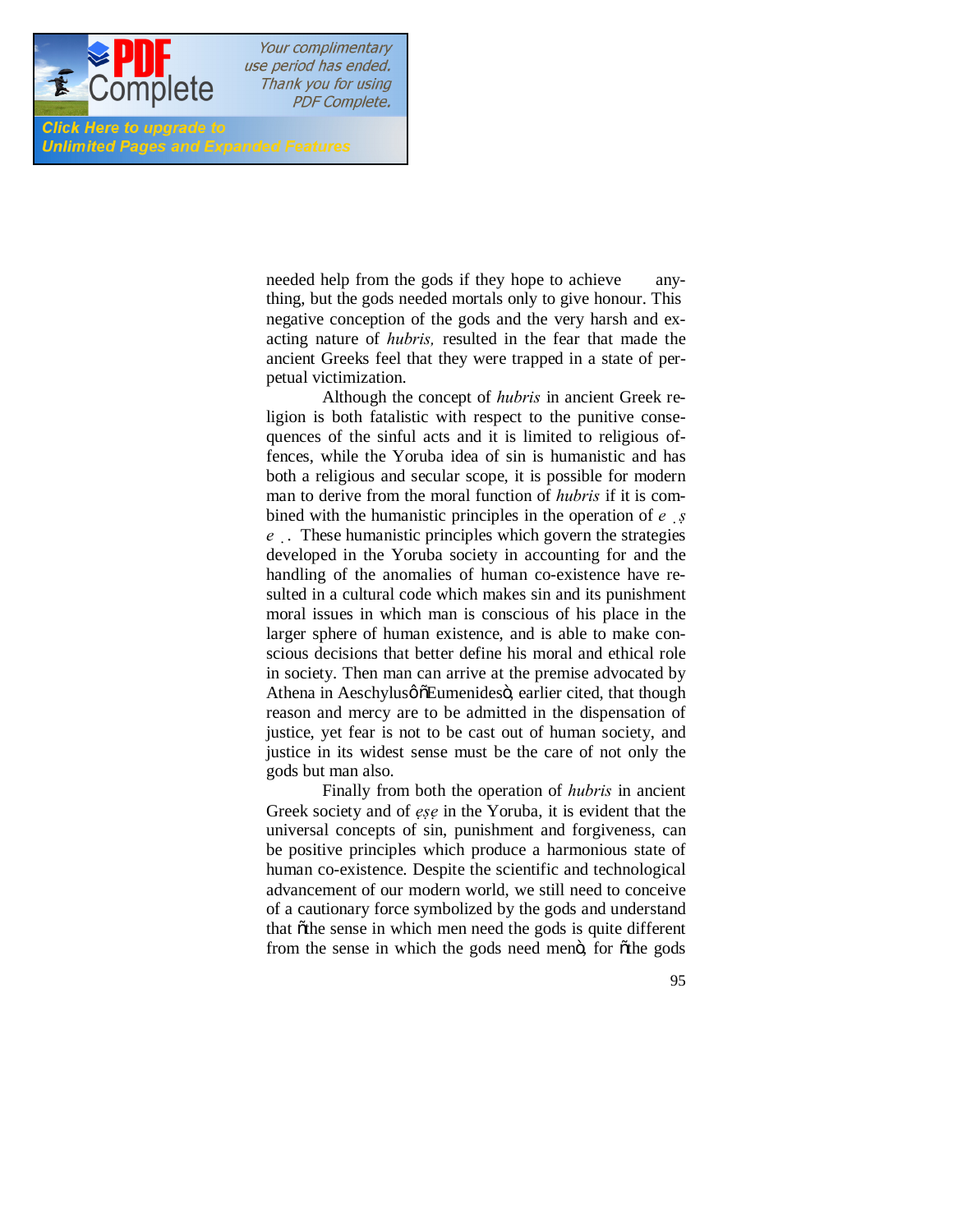needed help from the gods if they hope to achieve anything, but the gods needed mortals only to give honour. This negative conception of the gods and the very harsh and exacting nature of *hubris,* resulted in the fear that made the ancient Greeks feel that they were trapped in a state of perpetual victimization.

Although the concept of *hubris* in ancient Greek religion is both fatalistic with respect to the punitive consequences of the sinful acts and it is limited to religious offences, while the Yoruba idea of sin is humanistic and has both a religious and secular scope, it is possible for modern man to derive from the moral function of *hubris* if it is combined with the humanistic principles in the operation of *es e*. These humanistic principles which govern the strategies developed in the Yoruba society in accounting for and the handling of the anomalies of human co-existence have resulted in a cultural code which makes sin and its punishment moral issues in which man is conscious of his place in the larger sphere of human existence, and is able to make conscious decisions that better define his moral and ethical role in society. Then man can arrive at the premise advocated by Athena in Aeschylusø õEumenidesö, earlier cited, that though reason and mercy are to be admitted in the dispensation of justice, yet fear is not to be cast out of human society, and justice in its widest sense must be the care of not only the gods but man also.

Finally from both the operation of *hubris* in ancient Greek society and of *ese* in the Yoruba, it is evident that the universal concepts of sin, punishment and forgiveness, can be positive principles which produce a harmonious state of human co-existence. Despite the scientific and technological advancement of our modern world, we still need to conceive of a cautionary force symbolized by the gods and understand that othe sense in which men need the gods is quite different from the sense in which the gods need meno, for othe gods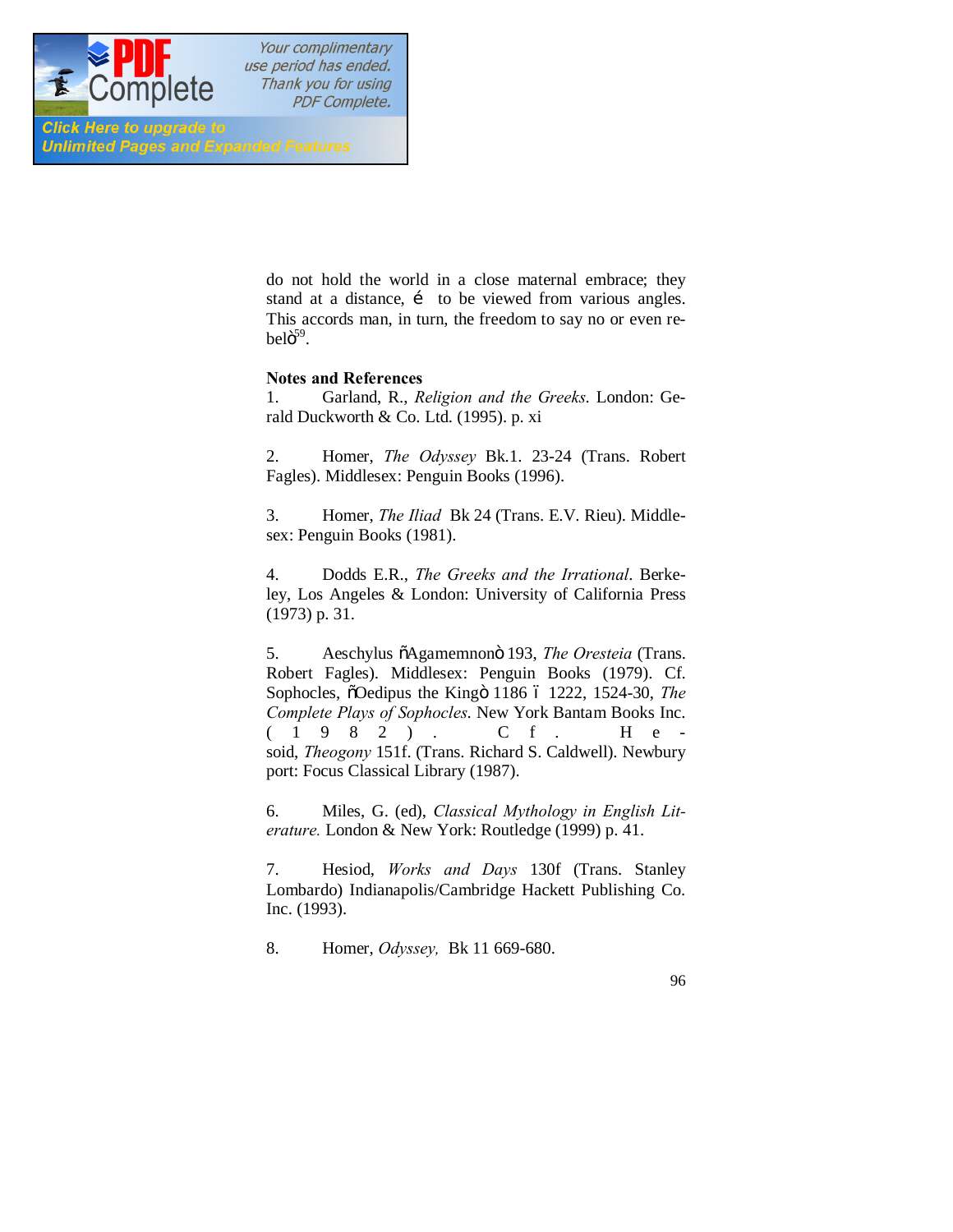do not hold the world in a close maternal embrace; they stand at a distance, i to be viewed from various angles. This accords man, in turn, the freedom to say no or even rebelö $^{59}$ .

## **Notes and References**

1. Garland, R., *Religion and the Greeks*. London: Gerald Duckworth & Co. Ltd. (1995). p. xi

2. Homer, *The Odyssey* Bk.1. 23-24 (Trans. Robert Fagles). Middlesex: Penguin Books (1996).

3. Homer, *The Iliad* Bk 24 (Trans. E.V. Rieu). Middlesex: Penguin Books (1981).

4. Dodds E.R., *The Greeks and the Irrational*. Berkeley, Los Angeles & London: University of California Press (1973) p. 31.

5. Aeschylus õAgamemnonö 193, *The Oresteia* (Trans. Robert Fagles). Middlesex: Penguin Books (1979). Cf. Sophocles,  $\delta$ Oedipus the Kingö 1186  $\delta$  1222, 1524-30, *The Complete Plays of Sophocles*. New York Bantam Books Inc. ( 1 9 8 2 ). C f . H e soid, *Theogony* 151f. (Trans. Richard S. Caldwell). Newbury port: Focus Classical Library (1987).

6. Miles, G. (ed), *Classical Mythology in English Literature.* London & New York: Routledge (1999) p. 41.

7. Hesiod, *Works and Days* 130f (Trans. Stanley Lombardo) Indianapolis/Cambridge Hackett Publishing Co. Inc. (1993).

8. Homer, *Odyssey,* Bk 11 669-680.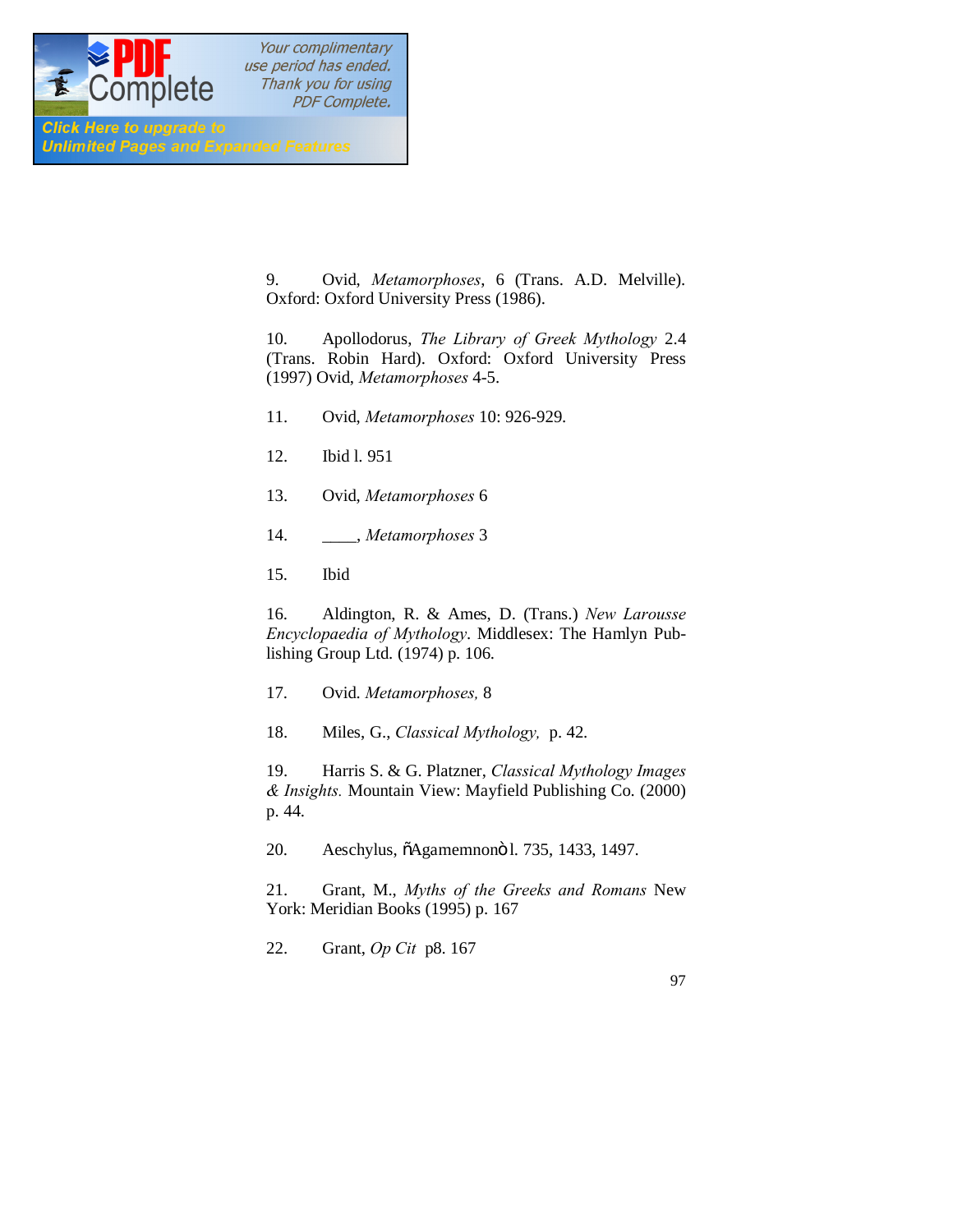9. Ovid, *Metamorphoses*, 6 (Trans. A.D. Melville). Oxford: Oxford University Press (1986).

10. Apollodorus, *The Library of Greek Mythology* 2.4 (Trans. Robin Hard). Oxford: Oxford University Press (1997) Ovid, *Metamorphoses* 4-5.

- 11. Ovid, *Metamorphoses* 10: 926-929.
- 12. Ibid l. 951
- 13. Ovid, *Metamorphoses* 6
- 14. \_\_\_\_, *Metamorphoses* 3

15. Ibid

16. Aldington, R. & Ames, D. (Trans.) *New Larousse Encyclopaedia of Mythology*. Middlesex: The Hamlyn Publishing Group Ltd. (1974) p. 106.

17. Ovid. *Metamorphoses,* 8

18. Miles, G., *Classical Mythology,* p. 42.

19. Harris S. & G. Platzner, *Classical Mythology Images & Insights.* Mountain View: Mayfield Publishing Co. (2000) p. 44.

20. Aeschylus,  $\delta$ Agamemnonö l. 735, 1433, 1497.

21. Grant, M., *Myths of the Greeks and Romans* New York: Meridian Books (1995) p. 167

22. Grant, *Op Cit* p8. 167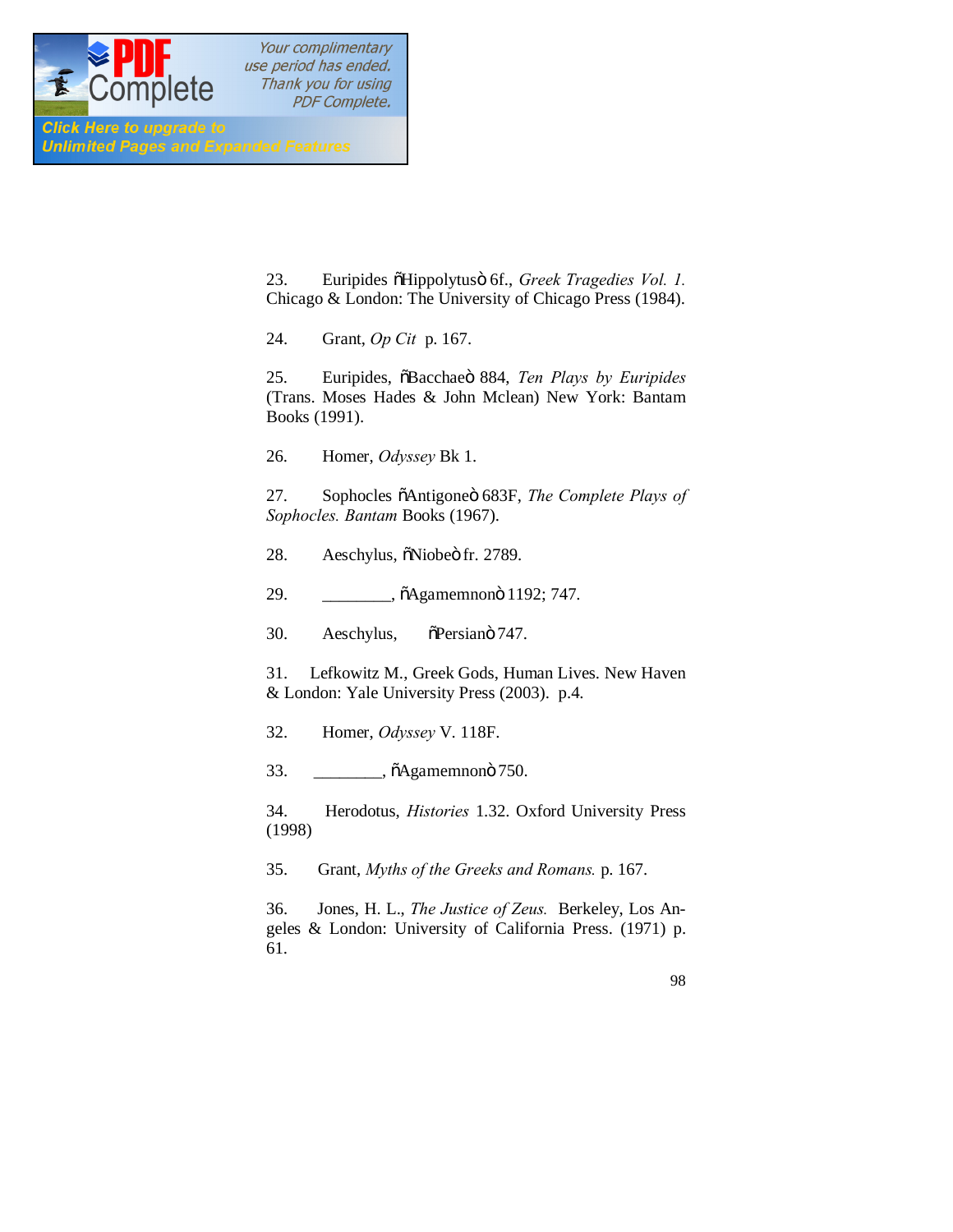23. Euripides "Hippolytus" 6f., *Greek Tragedies Vol. 1.*  Chicago & London: The University of Chicago Press (1984).

24. Grant, *Op Cit* p. 167.

25. Euripides, "Bacchae" 884, *Ten Plays by Euripides* (Trans. Moses Hades & John Mclean) New York: Bantam Books (1991).

26. Homer, *Odyssey* Bk 1.

27. Sophocles  $\ddot{\text{o}}$ Antigone $\ddot{\text{o}}$  683F, *The Complete Plays of Sophocles. Bantam* Books (1967).

- 28. Aeschylus, õNiobeö fr. 2789.
- 29. \_\_\_\_\_\_\_\_, "Agamemnon" 1192; 747.

30. Aeschylus, õPersianö 747.

31. Lefkowitz M., Greek Gods, Human Lives. New Haven & London: Yale University Press (2003). p.4.

- 32. Homer, *Odyssey* V. 118F.
- 33. \_\_\_\_\_\_\_\_, "Agamemnon" 750.

34. Herodotus, *Histories* 1.32. Oxford University Press (1998)

35. Grant, *Myths of the Greeks and Romans.* p. 167.

36. Jones, H. L., *The Justice of Zeus.* Berkeley, Los Angeles & London: University of California Press. (1971) p. 61.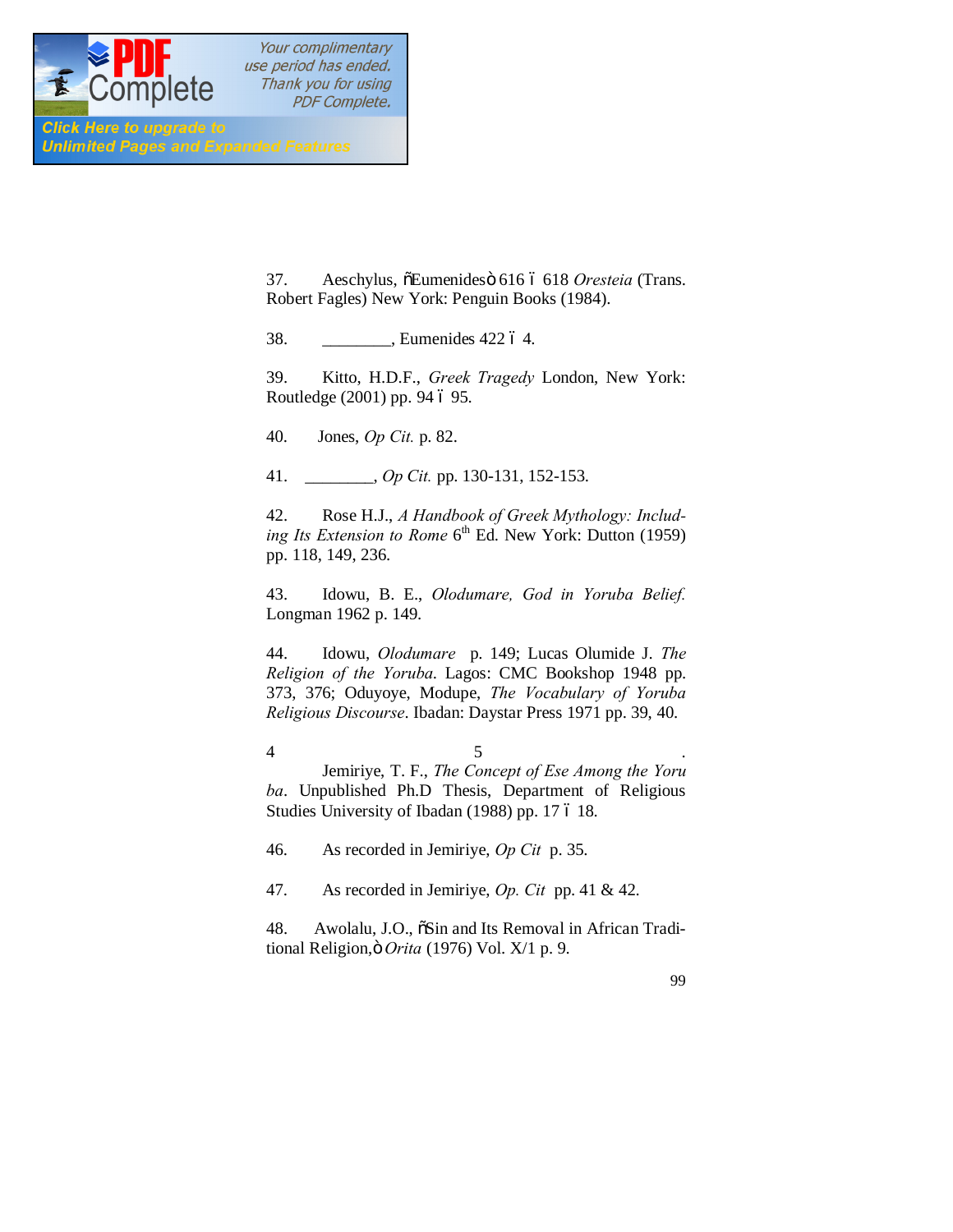37. Aeschylus, õEumenidesö 616 ó 618 Oresteia (Trans. Robert Fagles) New York: Penguin Books (1984).

38. **Eumenides 422 6 4.** 

39. Kitto, H.D.F., *Greek Tragedy* London, New York: Routledge (2001) pp. 94 6 95.

40. Jones, *Op Cit.* p. 82.

41. \_\_\_\_\_\_\_\_, *Op Cit.* pp. 130-131, 152-153.

42. Rose H.J., *A Handbook of Greek Mythology: Including Its Extension to Rome* 6<sup>th</sup> Ed. New York: Dutton (1959) pp. 118, 149, 236.

43. Idowu, B. E., *Olodumare, God in Yoruba Belief.*  Longman 1962 p. 149.

44. Idowu, *Olodumare* p. 149; Lucas Olumide J. *The Religion of the Yoruba*. Lagos: CMC Bookshop 1948 pp. 373, 376; Oduyoye, Modupe, *The Vocabulary of Yoruba Religious Discourse*. Ibadan: Daystar Press 1971 pp. 39, 40.

 $4 \hspace{2.5cm} 5 \hspace{2.5cm} .$ 

Jemiriye, T. F., *The Concept of Ese Among the Yoru ba*. Unpublished Ph.D Thesis, Department of Religious Studies University of Ibadan (1988) pp. 17 ó 18.

46. As recorded in Jemiriye, *Op Cit* p. 35.

47. As recorded in Jemiriye, *Op. Cit* pp. 41 & 42.

48. Awolalu, J.O.,  $\delta$ Sin and Its Removal in African Traditional Religion," *Orita* (1976) Vol. X/1 p. 9.